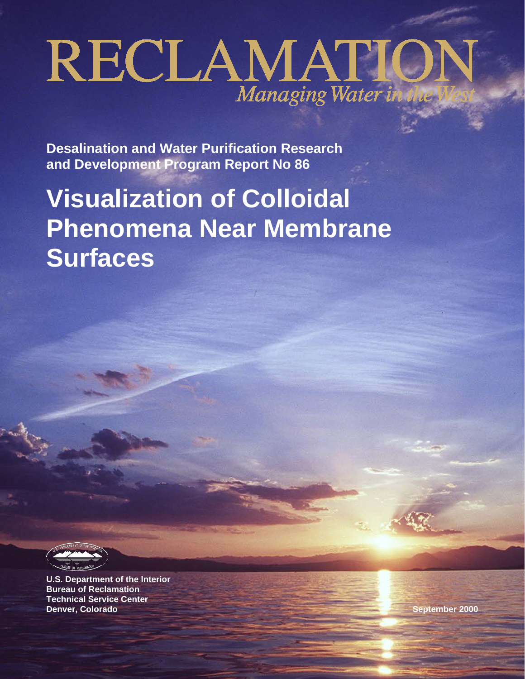# RECLAMATION

**Desalination and Water Purification Research and Development Program Report No 86**

# **Visualization of Colloidal Phenomena Near Membrane Surfaces**

**U.S. Department of the Interior Bureau of Reclamation Technical Service Center Denver, Colorado September 2000**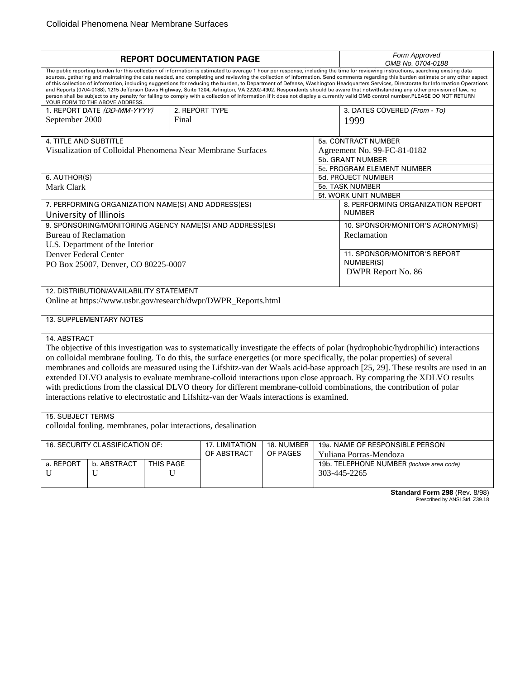| <b>REPORT DOCUMENTATION PAGE</b>                                                                                                                                                                                                                                                                                                                                                                                                                                                                                                                                                                                                                                                                                                                                                                                                                                                                                                                                    |                                       |                |                                 |                                           | Form Approved<br>OMB No. 0704-0188                                                                                        |  |  |
|---------------------------------------------------------------------------------------------------------------------------------------------------------------------------------------------------------------------------------------------------------------------------------------------------------------------------------------------------------------------------------------------------------------------------------------------------------------------------------------------------------------------------------------------------------------------------------------------------------------------------------------------------------------------------------------------------------------------------------------------------------------------------------------------------------------------------------------------------------------------------------------------------------------------------------------------------------------------|---------------------------------------|----------------|---------------------------------|-------------------------------------------|---------------------------------------------------------------------------------------------------------------------------|--|--|
| The public reporting burden for this collection of information is estimated to average 1 hour per response, including the time for reviewing instructions, searching existing data<br>sources, gathering and maintaining the data needed, and completing and reviewing the collection of information. Send comments regarding this burden estimate or any other aspect<br>of this collection of information, including suggestions for reducing the burden, to Department of Defense, Washington Headquarters Services, Directorate for Information Operations<br>and Reports (0704-0188), 1215 Jefferson Davis Highway, Suite 1204, Arlington, VA 22202-4302. Respondents should be aware that notwithstanding any other provision of law, no<br>person shall be subject to any penalty for failing to comply with a collection of information if it does not display a currently valid OMB control number.PLEASE DO NOT RETURN<br>YOUR FORM TO THE ABOVE ADDRESS. |                                       |                |                                 |                                           |                                                                                                                           |  |  |
| 1. REPORT DATE (DD-MM-YYYY)                                                                                                                                                                                                                                                                                                                                                                                                                                                                                                                                                                                                                                                                                                                                                                                                                                                                                                                                         |                                       | 2. REPORT TYPE |                                 |                                           | 3. DATES COVERED (From - To)                                                                                              |  |  |
| September 2000                                                                                                                                                                                                                                                                                                                                                                                                                                                                                                                                                                                                                                                                                                                                                                                                                                                                                                                                                      | Final                                 |                |                                 |                                           | 1999                                                                                                                      |  |  |
| 4. TITLE AND SUBTITLE                                                                                                                                                                                                                                                                                                                                                                                                                                                                                                                                                                                                                                                                                                                                                                                                                                                                                                                                               |                                       |                |                                 |                                           | 5a. CONTRACT NUMBER                                                                                                       |  |  |
| Visualization of Colloidal Phenomena Near Membrane Surfaces                                                                                                                                                                                                                                                                                                                                                                                                                                                                                                                                                                                                                                                                                                                                                                                                                                                                                                         |                                       |                |                                 |                                           | Agreement No. 99-FC-81-0182                                                                                               |  |  |
|                                                                                                                                                                                                                                                                                                                                                                                                                                                                                                                                                                                                                                                                                                                                                                                                                                                                                                                                                                     |                                       |                |                                 |                                           | 5b. GRANT NUMBER                                                                                                          |  |  |
|                                                                                                                                                                                                                                                                                                                                                                                                                                                                                                                                                                                                                                                                                                                                                                                                                                                                                                                                                                     |                                       |                |                                 |                                           | 5c. PROGRAM ELEMENT NUMBER                                                                                                |  |  |
| 6. AUTHOR(S)                                                                                                                                                                                                                                                                                                                                                                                                                                                                                                                                                                                                                                                                                                                                                                                                                                                                                                                                                        |                                       |                |                                 |                                           | 5d. PROJECT NUMBER                                                                                                        |  |  |
| Mark Clark                                                                                                                                                                                                                                                                                                                                                                                                                                                                                                                                                                                                                                                                                                                                                                                                                                                                                                                                                          |                                       |                |                                 |                                           | 5e. TASK NUMBER                                                                                                           |  |  |
|                                                                                                                                                                                                                                                                                                                                                                                                                                                                                                                                                                                                                                                                                                                                                                                                                                                                                                                                                                     |                                       |                |                                 |                                           | 5f. WORK UNIT NUMBER                                                                                                      |  |  |
| 7. PERFORMING ORGANIZATION NAME(S) AND ADDRESS(ES)                                                                                                                                                                                                                                                                                                                                                                                                                                                                                                                                                                                                                                                                                                                                                                                                                                                                                                                  |                                       |                |                                 |                                           | 8. PERFORMING ORGANIZATION REPORT                                                                                         |  |  |
| University of Illinois                                                                                                                                                                                                                                                                                                                                                                                                                                                                                                                                                                                                                                                                                                                                                                                                                                                                                                                                              |                                       |                |                                 |                                           | <b>NUMBER</b>                                                                                                             |  |  |
| 9. SPONSORING/MONITORING AGENCY NAME(S) AND ADDRESS(ES)                                                                                                                                                                                                                                                                                                                                                                                                                                                                                                                                                                                                                                                                                                                                                                                                                                                                                                             |                                       |                |                                 |                                           | 10. SPONSOR/MONITOR'S ACRONYM(S)                                                                                          |  |  |
| <b>Bureau of Reclamation</b>                                                                                                                                                                                                                                                                                                                                                                                                                                                                                                                                                                                                                                                                                                                                                                                                                                                                                                                                        |                                       |                |                                 |                                           | Reclamation                                                                                                               |  |  |
| U.S. Department of the Interior                                                                                                                                                                                                                                                                                                                                                                                                                                                                                                                                                                                                                                                                                                                                                                                                                                                                                                                                     |                                       |                |                                 |                                           |                                                                                                                           |  |  |
| Denver Federal Center                                                                                                                                                                                                                                                                                                                                                                                                                                                                                                                                                                                                                                                                                                                                                                                                                                                                                                                                               |                                       |                |                                 |                                           | 11. SPONSOR/MONITOR'S REPORT                                                                                              |  |  |
|                                                                                                                                                                                                                                                                                                                                                                                                                                                                                                                                                                                                                                                                                                                                                                                                                                                                                                                                                                     |                                       |                |                                 |                                           | NUMBER(S)                                                                                                                 |  |  |
| PO Box 25007, Denver, CO 80225-0007                                                                                                                                                                                                                                                                                                                                                                                                                                                                                                                                                                                                                                                                                                                                                                                                                                                                                                                                 |                                       |                |                                 | DWPR Report No. 86                        |                                                                                                                           |  |  |
|                                                                                                                                                                                                                                                                                                                                                                                                                                                                                                                                                                                                                                                                                                                                                                                                                                                                                                                                                                     |                                       |                |                                 |                                           |                                                                                                                           |  |  |
| 12. DISTRIBUTION/AVAILABILITY STATEMENT                                                                                                                                                                                                                                                                                                                                                                                                                                                                                                                                                                                                                                                                                                                                                                                                                                                                                                                             |                                       |                |                                 |                                           |                                                                                                                           |  |  |
| Online at https://www.usbr.gov/research/dwpr/DWPR_Reports.html                                                                                                                                                                                                                                                                                                                                                                                                                                                                                                                                                                                                                                                                                                                                                                                                                                                                                                      |                                       |                |                                 |                                           |                                                                                                                           |  |  |
| 13. SUPPLEMENTARY NOTES                                                                                                                                                                                                                                                                                                                                                                                                                                                                                                                                                                                                                                                                                                                                                                                                                                                                                                                                             |                                       |                |                                 |                                           |                                                                                                                           |  |  |
| 14. ABSTRACT                                                                                                                                                                                                                                                                                                                                                                                                                                                                                                                                                                                                                                                                                                                                                                                                                                                                                                                                                        |                                       |                |                                 |                                           |                                                                                                                           |  |  |
| The objective of this investigation was to systematically investigate the effects of polar (hydrophobic/hydrophilic) interactions                                                                                                                                                                                                                                                                                                                                                                                                                                                                                                                                                                                                                                                                                                                                                                                                                                   |                                       |                |                                 |                                           |                                                                                                                           |  |  |
|                                                                                                                                                                                                                                                                                                                                                                                                                                                                                                                                                                                                                                                                                                                                                                                                                                                                                                                                                                     |                                       |                |                                 |                                           | on colloidal membrane fouling. To do this, the surface energetics (or more specifically, the polar properties) of several |  |  |
|                                                                                                                                                                                                                                                                                                                                                                                                                                                                                                                                                                                                                                                                                                                                                                                                                                                                                                                                                                     |                                       |                |                                 |                                           |                                                                                                                           |  |  |
| membranes and colloids are measured using the Lifshitz-van der Waals acid-base approach [25, 29]. These results are used in an                                                                                                                                                                                                                                                                                                                                                                                                                                                                                                                                                                                                                                                                                                                                                                                                                                      |                                       |                |                                 |                                           |                                                                                                                           |  |  |
| extended DLVO analysis to evaluate membrane-colloid interactions upon close approach. By comparing the XDLVO results                                                                                                                                                                                                                                                                                                                                                                                                                                                                                                                                                                                                                                                                                                                                                                                                                                                |                                       |                |                                 |                                           |                                                                                                                           |  |  |
| with predictions from the classical DLVO theory for different membrane-colloid combinations, the contribution of polar                                                                                                                                                                                                                                                                                                                                                                                                                                                                                                                                                                                                                                                                                                                                                                                                                                              |                                       |                |                                 |                                           |                                                                                                                           |  |  |
| interactions relative to electrostatic and Lifshitz-van der Waals interactions is examined.                                                                                                                                                                                                                                                                                                                                                                                                                                                                                                                                                                                                                                                                                                                                                                                                                                                                         |                                       |                |                                 |                                           |                                                                                                                           |  |  |
| <b>15. SUBJECT TERMS</b>                                                                                                                                                                                                                                                                                                                                                                                                                                                                                                                                                                                                                                                                                                                                                                                                                                                                                                                                            |                                       |                |                                 |                                           |                                                                                                                           |  |  |
| colloidal fouling. membranes, polar interactions, desalination                                                                                                                                                                                                                                                                                                                                                                                                                                                                                                                                                                                                                                                                                                                                                                                                                                                                                                      |                                       |                |                                 |                                           |                                                                                                                           |  |  |
|                                                                                                                                                                                                                                                                                                                                                                                                                                                                                                                                                                                                                                                                                                                                                                                                                                                                                                                                                                     |                                       |                |                                 |                                           |                                                                                                                           |  |  |
| 16. SECURITY CLASSIFICATION OF:<br>17. LIMITATION<br>18. NUMBER                                                                                                                                                                                                                                                                                                                                                                                                                                                                                                                                                                                                                                                                                                                                                                                                                                                                                                     |                                       |                | 19a. NAME OF RESPONSIBLE PERSON |                                           |                                                                                                                           |  |  |
| OF PAGES<br>OF ABSTRACT                                                                                                                                                                                                                                                                                                                                                                                                                                                                                                                                                                                                                                                                                                                                                                                                                                                                                                                                             |                                       |                | Yuliana Porras-Mendoza          |                                           |                                                                                                                           |  |  |
|                                                                                                                                                                                                                                                                                                                                                                                                                                                                                                                                                                                                                                                                                                                                                                                                                                                                                                                                                                     | a. REPORT<br>b. ABSTRACT<br>THIS PAGE |                |                                 | 19b. TELEPHONE NUMBER (Include area code) |                                                                                                                           |  |  |
| U<br>U                                                                                                                                                                                                                                                                                                                                                                                                                                                                                                                                                                                                                                                                                                                                                                                                                                                                                                                                                              | U                                     |                |                                 |                                           | 303-445-2265                                                                                                              |  |  |
|                                                                                                                                                                                                                                                                                                                                                                                                                                                                                                                                                                                                                                                                                                                                                                                                                                                                                                                                                                     |                                       |                |                                 |                                           |                                                                                                                           |  |  |
|                                                                                                                                                                                                                                                                                                                                                                                                                                                                                                                                                                                                                                                                                                                                                                                                                                                                                                                                                                     |                                       |                |                                 |                                           | Standard Form 298 (Rev. 8/08)                                                                                             |  |  |

**Standard Form 298** (Rev. 8/98)<br>Prescribed by ANSI Std. Z39.18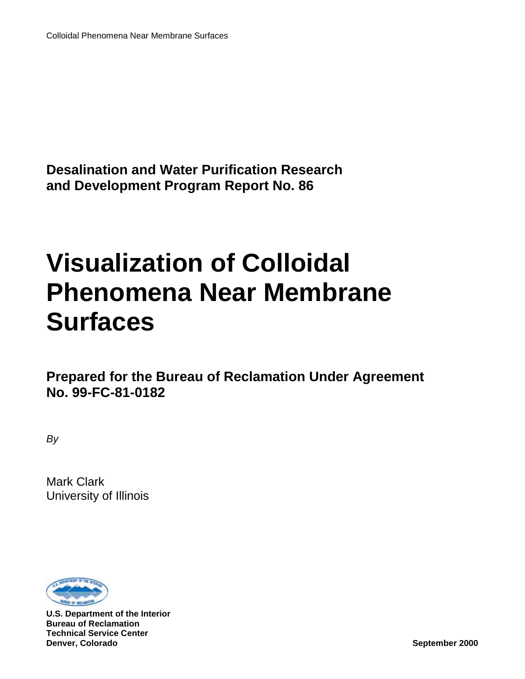**Desalination and Water Purification Research and Development Program Report No. 86**

# **Visualization of Colloidal Phenomena Near Membrane Surfaces**

**Prepared for the Bureau of Reclamation Under Agreement No. 99-FC-81-0182**

*By*

Mark Clark University of Illinois



**U.S. Department of the Interior Bureau of Reclamation Technical Service Center Denver, Colorado September 2000**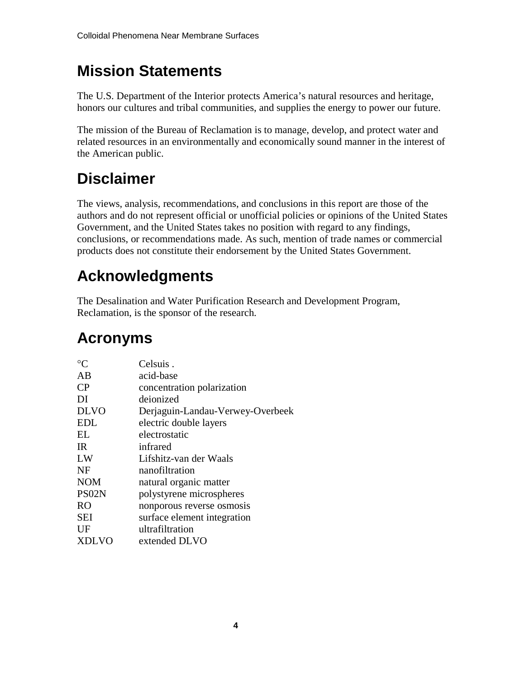## **Mission Statements**

The U.S. Department of the Interior protects America's natural resources and heritage, honors our cultures and tribal communities, and supplies the energy to power our future.

The mission of the Bureau of Reclamation is to manage, develop, and protect water and related resources in an environmentally and economically sound manner in the interest of the American public.

## **Disclaimer**

The views, analysis, recommendations, and conclusions in this report are those of the authors and do not represent official or unofficial policies or opinions of the United States Government, and the United States takes no position with regard to any findings, conclusions, or recommendations made. As such, mention of trade names or commercial products does not constitute their endorsement by the United States Government.

## **Acknowledgments**

The Desalination and Water Purification Research and Development Program, Reclamation, is the sponsor of the research.

## **Acronyms**

| Celsuis.                         |
|----------------------------------|
| acid-base                        |
| concentration polarization       |
| deionized                        |
| Derjaguin-Landau-Verwey-Overbeek |
| electric double layers           |
| electrostatic                    |
| infrared                         |
| Lifshitz-van der Waals           |
| nanofiltration                   |
| natural organic matter           |
| polystyrene microspheres         |
| nonporous reverse osmosis        |
| surface element integration      |
| ultrafiltration                  |
| extended DLVO                    |
|                                  |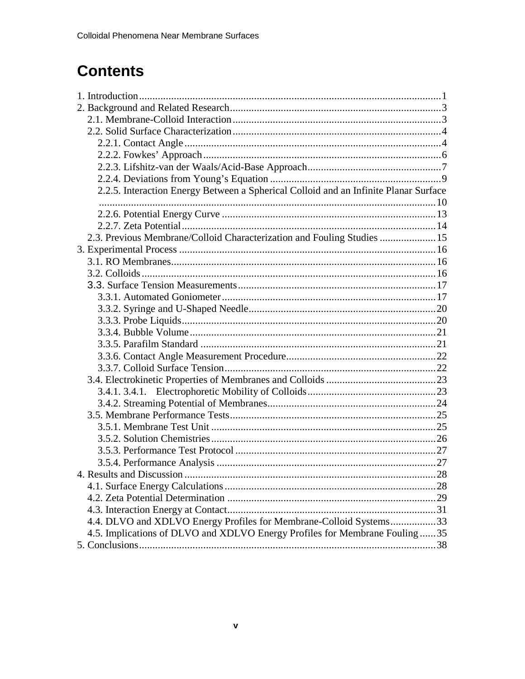## **Contents**

| 2.2.5. Interaction Energy Between a Spherical Colloid and an Infinite Planar Surface |  |
|--------------------------------------------------------------------------------------|--|
|                                                                                      |  |
|                                                                                      |  |
|                                                                                      |  |
| 2.3. Previous Membrane/Colloid Characterization and Fouling Studies  15              |  |
|                                                                                      |  |
|                                                                                      |  |
|                                                                                      |  |
|                                                                                      |  |
|                                                                                      |  |
|                                                                                      |  |
|                                                                                      |  |
|                                                                                      |  |
|                                                                                      |  |
|                                                                                      |  |
|                                                                                      |  |
|                                                                                      |  |
|                                                                                      |  |
|                                                                                      |  |
|                                                                                      |  |
|                                                                                      |  |
|                                                                                      |  |
|                                                                                      |  |
|                                                                                      |  |
|                                                                                      |  |
|                                                                                      |  |
|                                                                                      |  |
|                                                                                      |  |
| 4.4. DLVO and XDLVO Energy Profiles for Membrane-Colloid Systems33                   |  |
| 4.5. Implications of DLVO and XDLVO Energy Profiles for Membrane Fouling35           |  |
|                                                                                      |  |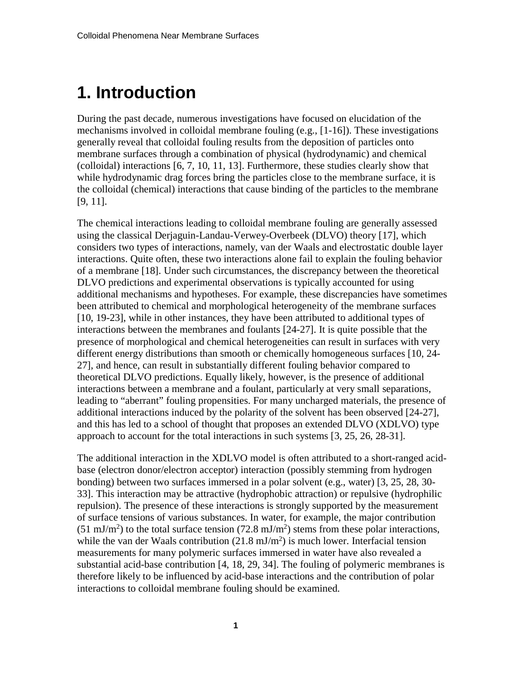## <span id="page-5-0"></span>**1. Introduction**

During the past decade, numerous investigations have focused on elucidation of the mechanisms involved in colloidal membrane fouling (e.g., [1-16]). These investigations generally reveal that colloidal fouling results from the deposition of particles onto membrane surfaces through a combination of physical (hydrodynamic) and chemical (colloidal) interactions [6, 7, 10, 11, 13]. Furthermore, these studies clearly show that while hydrodynamic drag forces bring the particles close to the membrane surface, it is the colloidal (chemical) interactions that cause binding of the particles to the membrane [9, 11].

The chemical interactions leading to colloidal membrane fouling are generally assessed using the classical Derjaguin-Landau-Verwey-Overbeek (DLVO) theory [17], which considers two types of interactions, namely, van der Waals and electrostatic double layer interactions. Quite often, these two interactions alone fail to explain the fouling behavior of a membrane [18]. Under such circumstances, the discrepancy between the theoretical DLVO predictions and experimental observations is typically accounted for using additional mechanisms and hypotheses. For example, these discrepancies have sometimes been attributed to chemical and morphological heterogeneity of the membrane surfaces [10, 19-23], while in other instances, they have been attributed to additional types of interactions between the membranes and foulants [24-27]. It is quite possible that the presence of morphological and chemical heterogeneities can result in surfaces with very different energy distributions than smooth or chemically homogeneous surfaces [10, 24- 27], and hence, can result in substantially different fouling behavior compared to theoretical DLVO predictions. Equally likely, however, is the presence of additional interactions between a membrane and a foulant, particularly at very small separations, leading to "aberrant" fouling propensities. For many uncharged materials, the presence of additional interactions induced by the polarity of the solvent has been observed [24-27], and this has led to a school of thought that proposes an extended DLVO (XDLVO) type approach to account for the total interactions in such systems [3, 25, 26, 28-31].

The additional interaction in the XDLVO model is often attributed to a short-ranged acidbase (electron donor/electron acceptor) interaction (possibly stemming from hydrogen bonding) between two surfaces immersed in a polar solvent (e.g., water) [3, 25, 28, 30- 33]. This interaction may be attractive (hydrophobic attraction) or repulsive (hydrophilic repulsion). The presence of these interactions is strongly supported by the measurement of surface tensions of various substances. In water, for example, the major contribution  $(51 \text{ mJ/m}^2)$  to the total surface tension  $(72.8 \text{ mJ/m}^2)$  stems from these polar interactions, while the van der Waals contribution  $(21.8 \text{ mJ/m}^2)$  is much lower. Interfacial tension measurements for many polymeric surfaces immersed in water have also revealed a substantial acid-base contribution [4, 18, 29, 34]. The fouling of polymeric membranes is therefore likely to be influenced by acid-base interactions and the contribution of polar interactions to colloidal membrane fouling should be examined.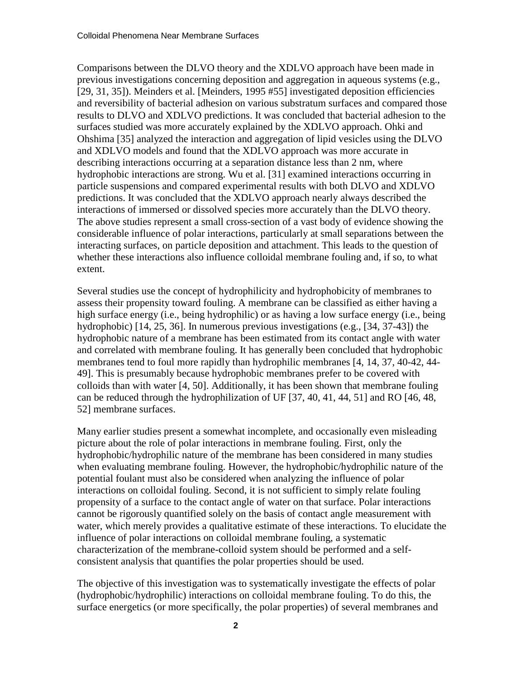Comparisons between the DLVO theory and the XDLVO approach have been made in previous investigations concerning deposition and aggregation in aqueous systems (e.g., [29, 31, 35]). Meinders et al. [Meinders, 1995 #55] investigated deposition efficiencies and reversibility of bacterial adhesion on various substratum surfaces and compared those results to DLVO and XDLVO predictions. It was concluded that bacterial adhesion to the surfaces studied was more accurately explained by the XDLVO approach. Ohki and Ohshima [35] analyzed the interaction and aggregation of lipid vesicles using the DLVO and XDLVO models and found that the XDLVO approach was more accurate in describing interactions occurring at a separation distance less than 2 nm, where hydrophobic interactions are strong. Wu et al. [31] examined interactions occurring in particle suspensions and compared experimental results with both DLVO and XDLVO predictions. It was concluded that the XDLVO approach nearly always described the interactions of immersed or dissolved species more accurately than the DLVO theory. The above studies represent a small cross-section of a vast body of evidence showing the considerable influence of polar interactions, particularly at small separations between the interacting surfaces, on particle deposition and attachment. This leads to the question of whether these interactions also influence colloidal membrane fouling and, if so, to what extent.

Several studies use the concept of hydrophilicity and hydrophobicity of membranes to assess their propensity toward fouling. A membrane can be classified as either having a high surface energy (i.e., being hydrophilic) or as having a low surface energy (i.e., being hydrophobic) [14, 25, 36]. In numerous previous investigations (e.g., [34, 37-43]) the hydrophobic nature of a membrane has been estimated from its contact angle with water and correlated with membrane fouling. It has generally been concluded that hydrophobic membranes tend to foul more rapidly than hydrophilic membranes [4, 14, 37, 40-42, 44- 49]. This is presumably because hydrophobic membranes prefer to be covered with colloids than with water [4, 50]. Additionally, it has been shown that membrane fouling can be reduced through the hydrophilization of UF [37, 40, 41, 44, 51] and RO [46, 48, 52] membrane surfaces.

Many earlier studies present a somewhat incomplete, and occasionally even misleading picture about the role of polar interactions in membrane fouling. First, only the hydrophobic/hydrophilic nature of the membrane has been considered in many studies when evaluating membrane fouling. However, the hydrophobic/hydrophilic nature of the potential foulant must also be considered when analyzing the influence of polar interactions on colloidal fouling. Second, it is not sufficient to simply relate fouling propensity of a surface to the contact angle of water on that surface. Polar interactions cannot be rigorously quantified solely on the basis of contact angle measurement with water, which merely provides a qualitative estimate of these interactions. To elucidate the influence of polar interactions on colloidal membrane fouling, a systematic characterization of the membrane-colloid system should be performed and a selfconsistent analysis that quantifies the polar properties should be used.

The objective of this investigation was to systematically investigate the effects of polar (hydrophobic/hydrophilic) interactions on colloidal membrane fouling. To do this, the surface energetics (or more specifically, the polar properties) of several membranes and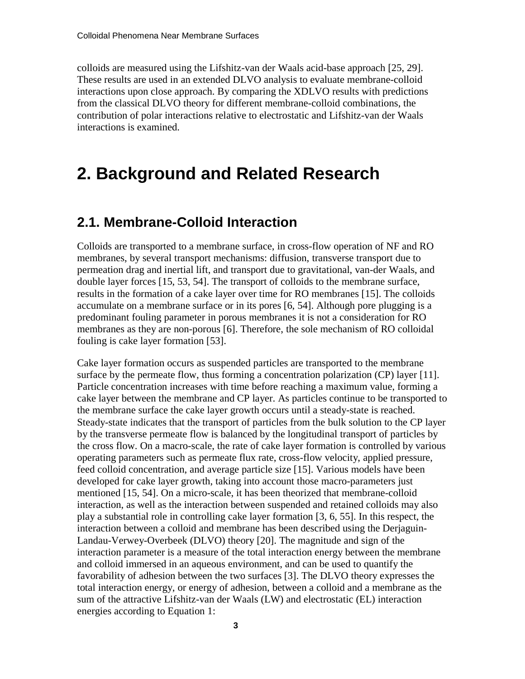colloids are measured using the Lifshitz-van der Waals acid-base approach [25, 29]. These results are used in an extended DLVO analysis to evaluate membrane-colloid interactions upon close approach. By comparing the XDLVO results with predictions from the classical DLVO theory for different membrane-colloid combinations, the contribution of polar interactions relative to electrostatic and Lifshitz-van der Waals interactions is examined.

## <span id="page-7-0"></span>**2. Background and Related Research**

#### <span id="page-7-1"></span>**2.1. Membrane-Colloid Interaction**

Colloids are transported to a membrane surface, in cross-flow operation of NF and RO membranes, by several transport mechanisms: diffusion, transverse transport due to permeation drag and inertial lift, and transport due to gravitational, van-der Waals, and double layer forces [15, 53, 54]. The transport of colloids to the membrane surface, results in the formation of a cake layer over time for RO membranes [15]. The colloids accumulate on a membrane surface or in its pores [6, 54]. Although pore plugging is a predominant fouling parameter in porous membranes it is not a consideration for RO membranes as they are non-porous [6]. Therefore, the sole mechanism of RO colloidal fouling is cake layer formation [53].

Cake layer formation occurs as suspended particles are transported to the membrane surface by the permeate flow, thus forming a concentration polarization (CP) layer [11]. Particle concentration increases with time before reaching a maximum value, forming a cake layer between the membrane and CP layer. As particles continue to be transported to the membrane surface the cake layer growth occurs until a steady-state is reached. Steady-state indicates that the transport of particles from the bulk solution to the CP layer by the transverse permeate flow is balanced by the longitudinal transport of particles by the cross flow. On a macro-scale, the rate of cake layer formation is controlled by various operating parameters such as permeate flux rate, cross-flow velocity, applied pressure, feed colloid concentration, and average particle size [15]. Various models have been developed for cake layer growth, taking into account those macro-parameters just mentioned [15, 54]. On a micro-scale, it has been theorized that membrane-colloid interaction, as well as the interaction between suspended and retained colloids may also play a substantial role in controlling cake layer formation [3, 6, 55]. In this respect, the interaction between a colloid and membrane has been described using the Derjaguin-Landau-Verwey-Overbeek (DLVO) theory [20]. The magnitude and sign of the interaction parameter is a measure of the total interaction energy between the membrane and colloid immersed in an aqueous environment, and can be used to quantify the favorability of adhesion between the two surfaces [3]. The DLVO theory expresses the total interaction energy, or energy of adhesion, between a colloid and a membrane as the sum of the attractive Lifshitz-van der Waals (LW) and electrostatic (EL) interaction energies according to Equation 1: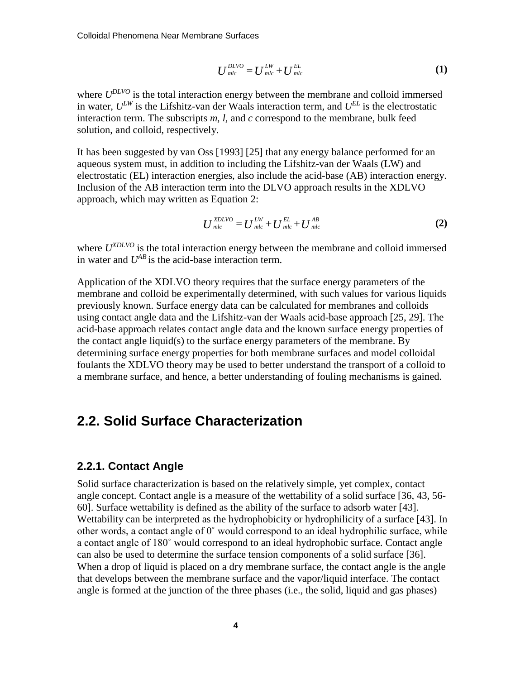$$
U_{mlc}^{DLVO} = U_{mlc}^{LW} + U_{mlc}^{EL}
$$
 (1)

where  $U^{DLVO}$  is the total interaction energy between the membrane and colloid immersed in water,  $U^{LW}$  is the Lifshitz-van der Waals interaction term, and  $U^{EL}$  is the electrostatic interaction term. The subscripts *m*, *l*, and *c* correspond to the membrane, bulk feed solution, and colloid, respectively.

It has been suggested by van Oss [1993] [25] that any energy balance performed for an aqueous system must, in addition to including the Lifshitz-van der Waals (LW) and electrostatic (EL) interaction energies, also include the acid-base (AB) interaction energy. Inclusion of the AB interaction term into the DLVO approach results in the XDLVO approach, which may written as Equation 2:

$$
U_{mlc}^{XDLVO} = U_{mlc}^{LW} + U_{mlc}^{EL} + U_{mlc}^{AB}
$$
 (2)

where  $U^{NDLVO}$  is the total interaction energy between the membrane and colloid immersed in water and  $U^{AB}$  is the acid-base interaction term.

Application of the XDLVO theory requires that the surface energy parameters of the membrane and colloid be experimentally determined, with such values for various liquids previously known. Surface energy data can be calculated for membranes and colloids using contact angle data and the Lifshitz-van der Waals acid-base approach [25, 29]. The acid-base approach relates contact angle data and the known surface energy properties of the contact angle liquid(s) to the surface energy parameters of the membrane. By determining surface energy properties for both membrane surfaces and model colloidal foulants the XDLVO theory may be used to better understand the transport of a colloid to a membrane surface, and hence, a better understanding of fouling mechanisms is gained.

#### <span id="page-8-0"></span>**2.2. Solid Surface Characterization**

#### <span id="page-8-1"></span>**2.2.1. Contact Angle**

Solid surface characterization is based on the relatively simple, yet complex, contact angle concept. Contact angle is a measure of the wettability of a solid surface [36, 43, 56- 60]. Surface wettability is defined as the ability of the surface to adsorb water [43]. Wettability can be interpreted as the hydrophobicity or hydrophilicity of a surface [43]. In other words, a contact angle of 0˚ would correspond to an ideal hydrophilic surface, while a contact angle of 180˚ would correspond to an ideal hydrophobic surface. Contact angle can also be used to determine the surface tension components of a solid surface [36]. When a drop of liquid is placed on a dry membrane surface, the contact angle is the angle that develops between the membrane surface and the vapor/liquid interface. The contact angle is formed at the junction of the three phases (i.e., the solid, liquid and gas phases)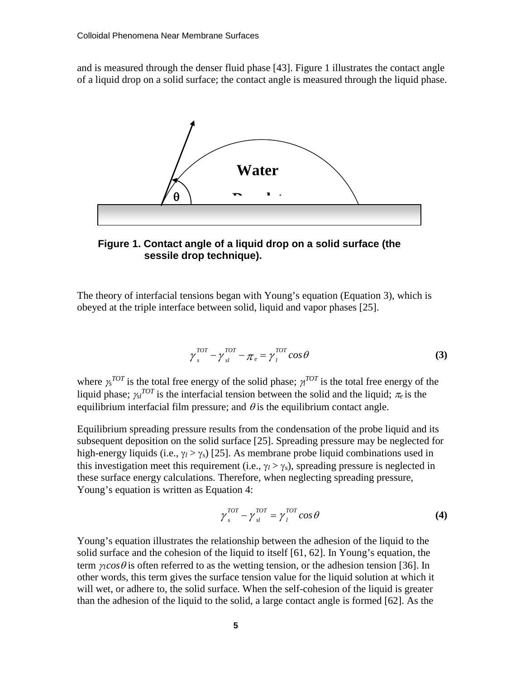and is measured through the denser fluid phase [43]. Figure 1 illustrates the contact angle of a liquid drop on a solid surface; the contact angle is measured through the liquid phase.



**Figure 1. Contact angle of a liquid drop on a solid surface (the sessile drop technique).**

The theory of interfacial tensions began with Young's equation (Equation 3), which is obeyed at the triple interface between solid, liquid and vapor phases [25].

$$
\gamma_s^{TOT} - \gamma_{sl}^{TOT} - \pi_e = \gamma_l^{TOT} \cos \theta \tag{3}
$$

where  $\gamma_s^{TOT}$  is the total free energy of the solid phase;  $\gamma_l^{TOT}$  is the total free energy of the liquid phase;  $\gamma_{st}^{TOT}$  is the interfacial tension between the solid and the liquid;  $\pi_e$  is the equilibrium interfacial film pressure; and  $\theta$  is the equilibrium contact angle.

Equilibrium spreading pressure results from the condensation of the probe liquid and its subsequent deposition on the solid surface [25]. Spreading pressure may be neglected for high-energy liquids (i.e.,  $\gamma_l > \gamma_s$ ) [25]. As membrane probe liquid combinations used in this investigation meet this requirement (i.e.,  $\gamma_l > \gamma_s$ ), spreading pressure is neglected in these surface energy calculations. Therefore, when neglecting spreading pressure, Young's equation is written as Equation 4:

$$
\gamma_s^{TOT} - \gamma_{sl}^{TOT} = \gamma_l^{TOT} \cos \theta \tag{4}
$$

Young's equation illustrates the relationship between the adhesion of the liquid to the solid surface and the cohesion of the liquid to itself [61, 62]. In Young's equation, the term  $\gamma$ *cos* $\theta$  is often referred to as the wetting tension, or the adhesion tension [36]. In other words, this term gives the surface tension value for the liquid solution at which it will wet, or adhere to, the solid surface. When the self-cohesion of the liquid is greater than the adhesion of the liquid to the solid, a large contact angle is formed [62]. As the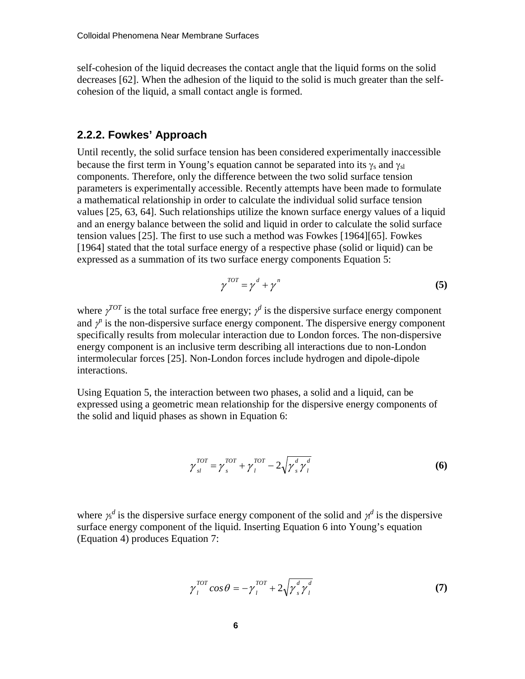self-cohesion of the liquid decreases the contact angle that the liquid forms on the solid decreases [62]. When the adhesion of the liquid to the solid is much greater than the selfcohesion of the liquid, a small contact angle is formed.

#### <span id="page-10-0"></span>**2.2.2. Fowkes' Approach**

Until recently, the solid surface tension has been considered experimentally inaccessible because the first term in Young's equation cannot be separated into its  $\gamma_s$  and  $\gamma_{sl}$ components. Therefore, only the difference between the two solid surface tension parameters is experimentally accessible. Recently attempts have been made to formulate a mathematical relationship in order to calculate the individual solid surface tension values [25, 63, 64]. Such relationships utilize the known surface energy values of a liquid and an energy balance between the solid and liquid in order to calculate the solid surface tension values [25]. The first to use such a method was Fowkes [1964][65]. Fowkes [1964] stated that the total surface energy of a respective phase (solid or liquid) can be expressed as a summation of its two surface energy components Equation 5:

$$
\gamma^{TOT} = \gamma^d + \gamma^n \tag{5}
$$

where  $\gamma^{TOT}$  is the total surface free energy;  $\gamma^d$  is the dispersive surface energy component and  $\gamma$ <sup>*n*</sup> is the non-dispersive surface energy component. The dispersive energy component specifically results from molecular interaction due to London forces. The non-dispersive energy component is an inclusive term describing all interactions due to non-London intermolecular forces [25]. Non-London forces include hydrogen and dipole-dipole interactions.

Using Equation 5, the interaction between two phases, a solid and a liquid, can be expressed using a geometric mean relationship for the dispersive energy components of the solid and liquid phases as shown in Equation 6:

$$
\gamma_{sl}^{TOT} = \gamma_{s}^{TOT} + \gamma_{l}^{TOT} - 2\sqrt{\gamma_{s}^{d} \gamma_{l}^{d}}
$$
\n(6)

where  $\gamma_s^d$  is the dispersive surface energy component of the solid and  $\gamma_d^d$  is the dispersive surface energy component of the liquid. Inserting Equation 6 into Young's equation (Equation 4) produces Equation 7:

$$
\gamma_l^{TOT} \cos \theta = -\gamma_l^{TOT} + 2\sqrt{\gamma_s^d \gamma_l^d}
$$
 (7)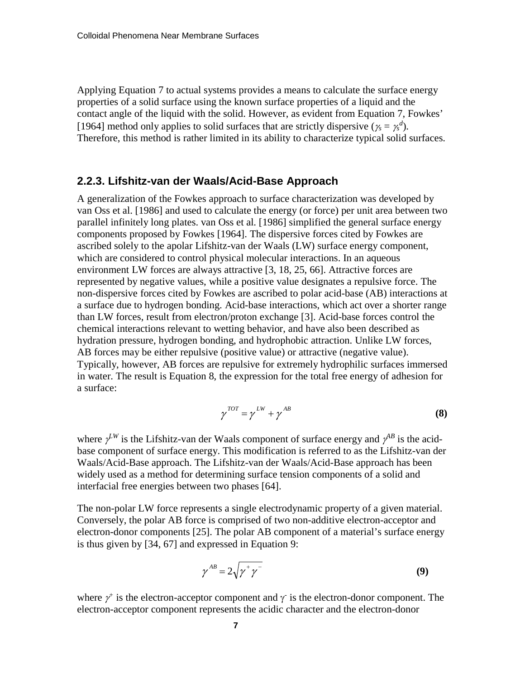Applying Equation 7 to actual systems provides a means to calculate the surface energy properties of a solid surface using the known surface properties of a liquid and the contact angle of the liquid with the solid. However, as evident from Equation 7, Fowkes' [1964] method only applies to solid surfaces that are strictly dispersive ( $\gamma_s = \gamma_s^d$ ). Therefore, this method is rather limited in its ability to characterize typical solid surfaces.

#### <span id="page-11-0"></span>**2.2.3. Lifshitz-van der Waals/Acid-Base Approach**

A generalization of the Fowkes approach to surface characterization was developed by van Oss et al. [1986] and used to calculate the energy (or force) per unit area between two parallel infinitely long plates. van Oss et al. [1986] simplified the general surface energy components proposed by Fowkes [1964]. The dispersive forces cited by Fowkes are ascribed solely to the apolar Lifshitz-van der Waals (LW) surface energy component, which are considered to control physical molecular interactions. In an aqueous environment LW forces are always attractive [3, 18, 25, 66]. Attractive forces are represented by negative values, while a positive value designates a repulsive force. The non-dispersive forces cited by Fowkes are ascribed to polar acid-base (AB) interactions at a surface due to hydrogen bonding. Acid-base interactions, which act over a shorter range than LW forces, result from electron/proton exchange [3]. Acid-base forces control the chemical interactions relevant to wetting behavior, and have also been described as hydration pressure, hydrogen bonding, and hydrophobic attraction. Unlike LW forces, AB forces may be either repulsive (positive value) or attractive (negative value). Typically, however, AB forces are repulsive for extremely hydrophilic surfaces immersed in water. The result is Equation 8, the expression for the total free energy of adhesion for a surface:

$$
\gamma^{TOT} = \gamma^{LW} + \gamma^{AB} \tag{8}
$$

where  $\gamma^{LW}$  is the Lifshitz-van der Waals component of surface energy and  $\gamma^{AB}$  is the acidbase component of surface energy. This modification is referred to as the Lifshitz-van der Waals/Acid-Base approach. The Lifshitz-van der Waals/Acid-Base approach has been widely used as a method for determining surface tension components of a solid and interfacial free energies between two phases [64].

The non-polar LW force represents a single electrodynamic property of a given material. Conversely, the polar AB force is comprised of two non-additive electron-acceptor and electron-donor components [25]. The polar AB component of a material's surface energy is thus given by [34, 67] and expressed in Equation 9:

$$
\gamma^{AB} = 2\sqrt{\gamma^+ \gamma^-} \tag{9}
$$

where  $\gamma^+$  is the electron-acceptor component and  $\gamma^-$  is the electron-donor component. The electron-acceptor component represents the acidic character and the electron-donor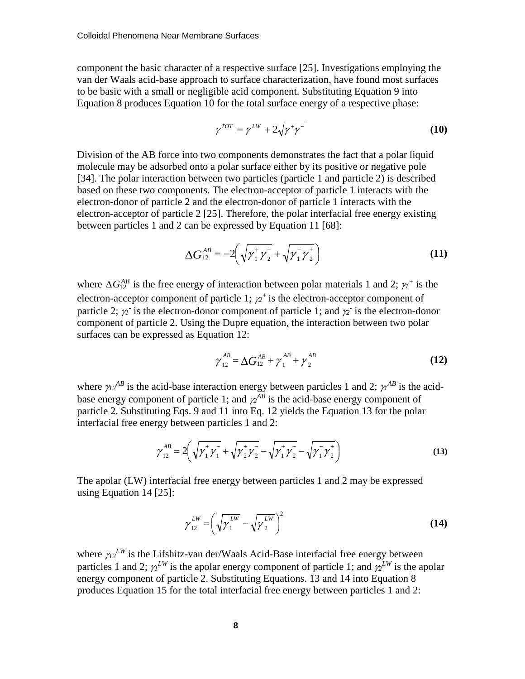component the basic character of a respective surface [25]. Investigations employing the van der Waals acid-base approach to surface characterization, have found most surfaces to be basic with a small or negligible acid component. Substituting Equation 9 into Equation 8 produces Equation 10 for the total surface energy of a respective phase:

$$
\gamma^{TOT} = \gamma^{LW} + 2\sqrt{\gamma^+ \gamma^-} \tag{10}
$$

Division of the AB force into two components demonstrates the fact that a polar liquid molecule may be adsorbed onto a polar surface either by its positive or negative pole [34]. The polar interaction between two particles (particle 1 and particle 2) is described based on these two components. The electron-acceptor of particle 1 interacts with the electron-donor of particle 2 and the electron-donor of particle 1 interacts with the electron-acceptor of particle 2 [25]. Therefore, the polar interfacial free energy existing between particles 1 and 2 can be expressed by Equation 11 [68]:

$$
\Delta G_{12}^{AB} = -2 \left( \sqrt{{\gamma}_1^+ {\gamma}_2^-} + \sqrt{{\gamma}_1^- {\gamma}_2^+} \right)
$$
 (11)

where  $\Delta G_{12}^{AB}$  is the free energy of interaction between polar materials 1 and 2;  $\gamma_1^+$  is the electron-acceptor component of particle 1;  $\chi^2$ <sup>+</sup> is the electron-acceptor component of particle 2;  $\gamma_1$  is the electron-donor component of particle 1; and  $\gamma_2$  is the electron-donor component of particle 2. Using the Dupre equation, the interaction between two polar surfaces can be expressed as Equation 12:

$$
\gamma_{12}^{AB} = \Delta G_{12}^{AB} + \gamma_1^{AB} + \gamma_2^{AB}
$$
 (12)

where  $\gamma_2{}^{AB}$  is the acid-base interaction energy between particles 1 and 2;  $\gamma_1{}^{AB}$  is the acidbase energy component of particle 1; and  $\chi^{AB}$  is the acid-base energy component of particle 2. Substituting Eqs. 9 and 11 into Eq. 12 yields the Equation 13 for the polar interfacial free energy between particles 1 and 2:

$$
\gamma_{12}^{AB} = 2 \left( \sqrt{\gamma_1^+ \gamma_1^-} + \sqrt{\gamma_2^+ \gamma_2^-} - \sqrt{\gamma_1^+ \gamma_2^-} - \sqrt{\gamma_1^- \gamma_2^+} \right)
$$
(13)

The apolar (LW) interfacial free energy between particles 1 and 2 may be expressed using Equation 14 [25]:

$$
\gamma_{12}^{LW} = \left(\sqrt{\gamma_1^{LW}} - \sqrt{\gamma_2^{LW}}\right)^2
$$
 (14)

where  $\gamma_2^{LW}$  is the Lifshitz-van der/Waals Acid-Base interfacial free energy between particles 1 and 2;  $\gamma^{LW}$  is the apolar energy component of particle 1; and  $\gamma^{LW}$  is the apolar energy component of particle 2. Substituting Equations. 13 and 14 into Equation 8 produces Equation 15 for the total interfacial free energy between particles 1 and 2: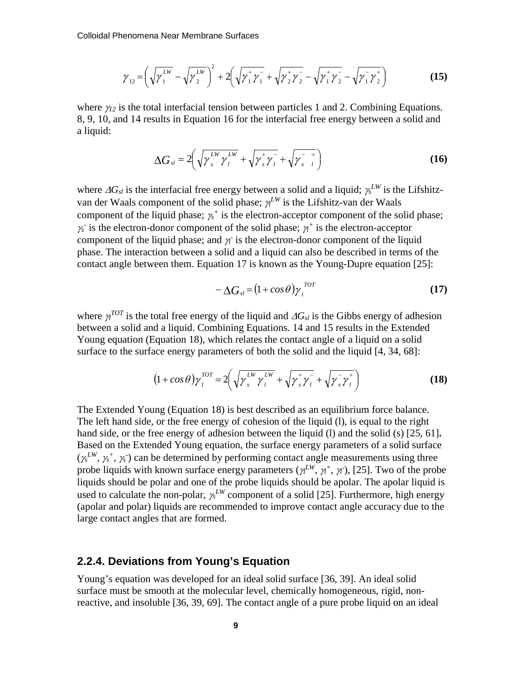$$
\gamma_{12} = \left(\sqrt{\gamma_1^{LW}} - \sqrt{\gamma_2^{LW}}\right)^2 + 2\left(\sqrt{\gamma_1^{+}\gamma_1^{-}} + \sqrt{\gamma_2^{+}\gamma_2^{-}} - \sqrt{\gamma_1^{+}\gamma_2^{-}} - \sqrt{\gamma_1^{-}\gamma_2^{+}}\right)
$$
(15)

where  $\gamma_{12}$  is the total interfacial tension between particles 1 and 2. Combining Equations. 8, 9, 10, and 14 results in Equation 16 for the interfacial free energy between a solid and a liquid:

$$
\Delta G_{sl} = 2 \left( \sqrt{\gamma_s^{LW} \gamma_l^{LW}} + \sqrt{\gamma_s^{+} \gamma_l^{-}} + \sqrt{\gamma_{s-l}^{-}} \right)
$$
 (16)

where  $\Delta G_{sl}$  is the interfacial free energy between a solid and a liquid;  $\gamma_s^{LW}$  is the Lifshitzvan der Waals component of the solid phase;  $\gamma^{LW}$  is the Lifshitz-van der Waals component of the liquid phase; <sup>γ</sup>*<sup>s</sup> <sup>+</sup>* is the electron-acceptor component of the solid phase;  $\gamma_s$  is the electron-donor component of the solid phase;  $\gamma_t^+$  is the electron-acceptor component of the liquid phase; and  $\gamma$ <sup>2</sup> is the electron-donor component of the liquid phase. The interaction between a solid and a liquid can also be described in terms of the contact angle between them. Equation 17 is known as the Young-Dupre equation [25]:

$$
-\Delta G_{sl} = (1 + \cos \theta) \gamma_l^{TOT} \tag{17}
$$

where  $\gamma^{TOT}$  is the total free energy of the liquid and  $\Delta G_{sl}$  is the Gibbs energy of adhesion between a solid and a liquid. Combining Equations. 14 and 15 results in the Extended Young equation (Equation 18), which relates the contact angle of a liquid on a solid surface to the surface energy parameters of both the solid and the liquid [4, 34, 68]:

$$
(1 + \cos \theta) \gamma_l^{TOT} = 2 \left( \sqrt{\gamma_s^{LW} \gamma_l^{LW}} + \sqrt{\gamma_s^{+} \gamma_l^{-}} + \sqrt{\gamma_s^{-} \gamma_l^{+}} \right)
$$
(18)

The Extended Young (Equation 18) is best described as an equilibrium force balance. The left hand side, or the free energy of cohesion of the liquid (l), is equal to the right hand side, or the free energy of adhesion between the liquid (l) and the solid (s) [25, 61]**.** Based on the Extended Young equation, the surface energy parameters of a solid surface  $(\gamma_s^{LW}, \gamma_s^+, \gamma_s)$  can be determined by performing contact angle measurements using three probe liquids with known surface energy parameters ( $\gamma_L^{LW}$ ,  $\gamma_t^+$ ,  $\gamma_l$ ), [25]. Two of the probe liquids should be polar and one of the probe liquids should be apolar. The apolar liquid is used to calculate the non-polar, <sup>γ</sup>*<sup>s</sup> LW* component of a solid [25]. Furthermore, high energy (apolar and polar) liquids are recommended to improve contact angle accuracy due to the large contact angles that are formed.

#### <span id="page-13-0"></span>**2.2.4. Deviations from Young's Equation**

Young's equation was developed for an ideal solid surface [36, 39]. An ideal solid surface must be smooth at the molecular level, chemically homogeneous, rigid, nonreactive, and insoluble [36, 39, 69]. The contact angle of a pure probe liquid on an ideal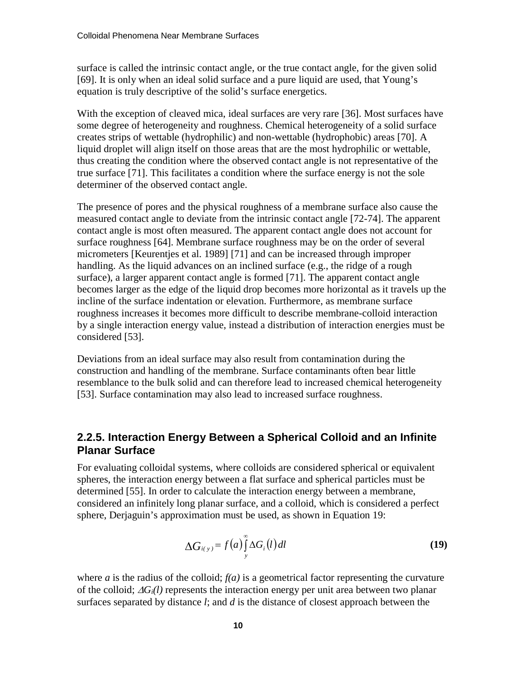surface is called the intrinsic contact angle, or the true contact angle, for the given solid [69]. It is only when an ideal solid surface and a pure liquid are used, that Young's equation is truly descriptive of the solid's surface energetics.

With the exception of cleaved mica, ideal surfaces are very rare [36]. Most surfaces have some degree of heterogeneity and roughness. Chemical heterogeneity of a solid surface creates strips of wettable (hydrophilic) and non-wettable (hydrophobic) areas [70]. A liquid droplet will align itself on those areas that are the most hydrophilic or wettable, thus creating the condition where the observed contact angle is not representative of the true surface [71]. This facilitates a condition where the surface energy is not the sole determiner of the observed contact angle.

The presence of pores and the physical roughness of a membrane surface also cause the measured contact angle to deviate from the intrinsic contact angle [72-74]. The apparent contact angle is most often measured. The apparent contact angle does not account for surface roughness [64]. Membrane surface roughness may be on the order of several micrometers [Keurentjes et al. 1989] [71] and can be increased through improper handling. As the liquid advances on an inclined surface (e.g., the ridge of a rough surface), a larger apparent contact angle is formed [71]. The apparent contact angle becomes larger as the edge of the liquid drop becomes more horizontal as it travels up the incline of the surface indentation or elevation. Furthermore, as membrane surface roughness increases it becomes more difficult to describe membrane-colloid interaction by a single interaction energy value, instead a distribution of interaction energies must be considered [53].

Deviations from an ideal surface may also result from contamination during the construction and handling of the membrane. Surface contaminants often bear little resemblance to the bulk solid and can therefore lead to increased chemical heterogeneity [53]. Surface contamination may also lead to increased surface roughness.

#### <span id="page-14-0"></span>**2.2.5. Interaction Energy Between a Spherical Colloid and an Infinite Planar Surface**

For evaluating colloidal systems, where colloids are considered spherical or equivalent spheres, the interaction energy between a flat surface and spherical particles must be determined [55]. In order to calculate the interaction energy between a membrane, considered an infinitely long planar surface, and a colloid, which is considered a perfect sphere, Derjaguin's approximation must be used, as shown in Equation 19:

$$
\Delta G_{i(y)} = f(a) \int_{y}^{\infty} \Delta G_i(l) dl
$$
 (19)

where *a* is the radius of the colloid;  $f(a)$  is a geometrical factor representing the curvature of the colloid; ∆*Gi(l)* represents the interaction energy per unit area between two planar surfaces separated by distance *l*; and *d* is the distance of closest approach between the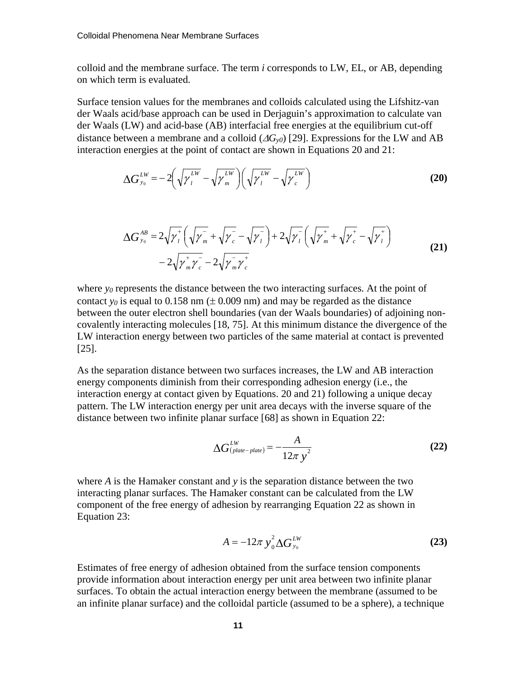colloid and the membrane surface. The term *i* corresponds to LW, EL, or AB, depending on which term is evaluated.

Surface tension values for the membranes and colloids calculated using the Lifshitz-van der Waals acid/base approach can be used in Derjaguin's approximation to calculate van der Waals (LW) and acid-base (AB) interfacial free energies at the equilibrium cut-off distance between a membrane and a colloid  $(\Delta G_{\nu 0})$  [29]. Expressions for the LW and AB interaction energies at the point of contact are shown in Equations 20 and 21:

$$
\Delta G_{y_0}^{LW} = -2\left(\sqrt{\gamma_l^{LW}} - \sqrt{\gamma_m^{LW}}\right)\left(\sqrt{\gamma_l^{LW}} - \sqrt{\gamma_c^{LW}}\right)
$$
(20)

$$
\Delta G_{y_0}^{AB} = 2\sqrt{\gamma_i^+} \left( \sqrt{\gamma_m^-} + \sqrt{\gamma_c^-} - \sqrt{\gamma_i^-} \right) + 2\sqrt{\gamma_i^-} \left( \sqrt{\gamma_m^+} + \sqrt{\gamma_c^+} - \sqrt{\gamma_i^+} \right) - 2\sqrt{\gamma_m^+ \gamma_c^-} - 2\sqrt{\gamma_m^- \gamma_c^+}
$$
\n(21)

where  $y_0$  represents the distance between the two interacting surfaces. At the point of contact *y<sub>0</sub>* is equal to 0.158 nm  $(\pm 0.009 \text{ nm})$  and may be regarded as the distance between the outer electron shell boundaries (van der Waals boundaries) of adjoining noncovalently interacting molecules [18, 75]. At this minimum distance the divergence of the LW interaction energy between two particles of the same material at contact is prevented [25].

As the separation distance between two surfaces increases, the LW and AB interaction energy components diminish from their corresponding adhesion energy (i.e., the interaction energy at contact given by Equations. 20 and 21) following a unique decay pattern. The LW interaction energy per unit area decays with the inverse square of the distance between two infinite planar surface [68] as shown in Equation 22:

$$
\Delta G_{(plate-plate)}^{LW} = -\frac{A}{12\pi y^2}
$$
 (22)

where *A* is the Hamaker constant and *y* is the separation distance between the two interacting planar surfaces. The Hamaker constant can be calculated from the LW component of the free energy of adhesion by rearranging Equation 22 as shown in Equation 23:

$$
A = -12\pi y_0^2 \Delta G_{y_0}^{LW}
$$
 (23)

Estimates of free energy of adhesion obtained from the surface tension components provide information about interaction energy per unit area between two infinite planar surfaces. To obtain the actual interaction energy between the membrane (assumed to be an infinite planar surface) and the colloidal particle (assumed to be a sphere), a technique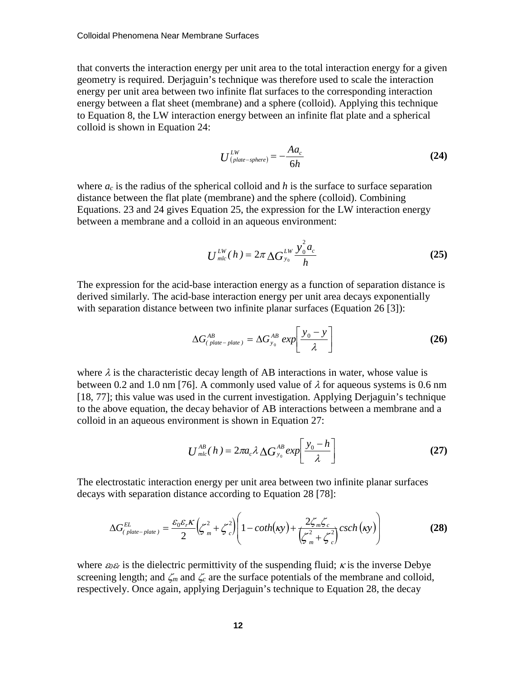that converts the interaction energy per unit area to the total interaction energy for a given geometry is required. Derjaguin's technique was therefore used to scale the interaction energy per unit area between two infinite flat surfaces to the corresponding interaction energy between a flat sheet (membrane) and a sphere (colloid). Applying this technique to Equation 8, the LW interaction energy between an infinite flat plate and a spherical colloid is shown in Equation 24:

$$
U^{LW}_{(plate-sphere)} = -\frac{Aa_c}{6h} \tag{24}
$$

where  $a_c$  is the radius of the spherical colloid and h is the surface to surface separation distance between the flat plate (membrane) and the sphere (colloid). Combining Equations. 23 and 24 gives Equation 25, the expression for the LW interaction energy between a membrane and a colloid in an aqueous environment:

$$
U_{mlc}^{LW}(h) = 2\pi \Delta G_{y_0}^{LW} \frac{y_0^2 a_c}{h}
$$
 (25)

The expression for the acid-base interaction energy as a function of separation distance is derived similarly. The acid-base interaction energy per unit area decays exponentially with separation distance between two infinite planar surfaces (Equation 26 [3]):

$$
\Delta G_{(plate-plate)}^{AB} = \Delta G_{y_0}^{AB} exp\left[\frac{y_0 - y}{\lambda}\right]
$$
 (26)

where  $\lambda$  is the characteristic decay length of AB interactions in water, whose value is between 0.2 and 1.0 nm [76]. A commonly used value of  $\lambda$  for aqueous systems is 0.6 nm [18, 77]; this value was used in the current investigation. Applying Derjaguin's technique to the above equation, the decay behavior of AB interactions between a membrane and a colloid in an aqueous environment is shown in Equation 27:

$$
U_{\text{mlc}}^{\text{AB}}(h) = 2\pi a_c \lambda \Delta G_{y_0}^{\text{AB}} \exp\left[\frac{y_0 - h}{\lambda}\right]
$$
 (27)

The electrostatic interaction energy per unit area between two infinite planar surfaces decays with separation distance according to Equation 28 [78]:

$$
\Delta G_{(plate-plate)}^{EL} = \frac{\varepsilon_0 \varepsilon_r \kappa}{2} \left( \zeta_m^2 + \zeta_c^2 \right) \left( 1 - \coth(\kappa y) + \frac{2 \zeta_m \zeta_c}{\left( \zeta_m^2 + \zeta_c^2 \right)} \csch(\kappa y) \right)
$$
(28)

where  $\varepsilon_0 \varepsilon_r$  is the dielectric permittivity of the suspending fluid;  $\kappa$  is the inverse Debye screening length; and  $\zeta_m$  and  $\zeta_c$  are the surface potentials of the membrane and colloid, respectively. Once again, applying Derjaguin's technique to Equation 28, the decay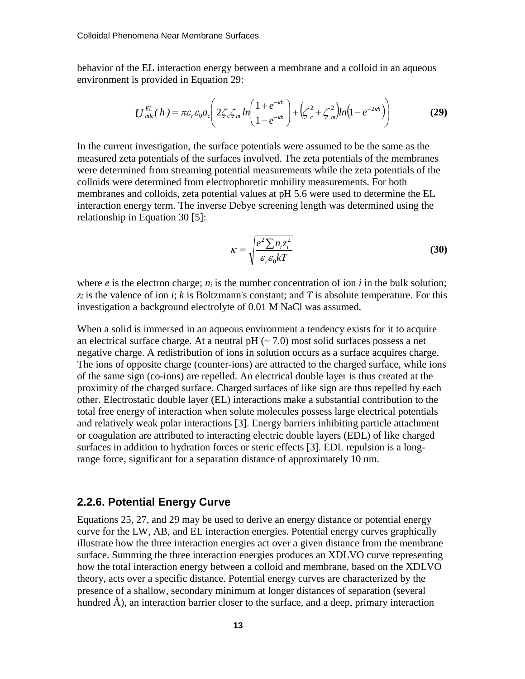behavior of the EL interaction energy between a membrane and a colloid in an aqueous environment is provided in Equation 29:

$$
U_{mlc}^{EL}(h) = \pi \varepsilon_r \varepsilon_0 a_c \left( 2 \zeta_c \zeta_m \ln \left( \frac{1 + e^{-\kappa h}}{1 - e^{-\kappa h}} \right) + \left( \zeta_c^2 + \zeta_m^2 \right) \ln \left( 1 - e^{-2\kappa h} \right) \right)
$$
(29)

In the current investigation, the surface potentials were assumed to be the same as the measured zeta potentials of the surfaces involved. The zeta potentials of the membranes were determined from streaming potential measurements while the zeta potentials of the colloids were determined from electrophoretic mobility measurements. For both membranes and colloids, zeta potential values at pH 5.6 were used to determine the EL interaction energy term. The inverse Debye screening length was determined using the relationship in Equation 30 [5]:

$$
\kappa = \sqrt{\frac{e^2 \sum n_i z_i^2}{\varepsilon_r \varepsilon_0 kT}}
$$
(30)

where  $e$  is the electron charge;  $n_i$  is the number concentration of ion  $i$  in the bulk solution;  $z_i$  is the valence of ion *i*; *k* is Boltzmann's constant; and *T* is absolute temperature. For this investigation a background electrolyte of 0.01 M NaCl was assumed.

When a solid is immersed in an aqueous environment a tendency exists for it to acquire an electrical surface charge. At a neutral  $pH$  ( $\sim$  7.0) most solid surfaces possess a net negative charge. A redistribution of ions in solution occurs as a surface acquires charge. The ions of opposite charge (counter-ions) are attracted to the charged surface, while ions of the same sign (co-ions) are repelled. An electrical double layer is thus created at the proximity of the charged surface. Charged surfaces of like sign are thus repelled by each other. Electrostatic double layer (EL) interactions make a substantial contribution to the total free energy of interaction when solute molecules possess large electrical potentials and relatively weak polar interactions [3]. Energy barriers inhibiting particle attachment or coagulation are attributed to interacting electric double layers (EDL) of like charged surfaces in addition to hydration forces or steric effects [3]. EDL repulsion is a longrange force, significant for a separation distance of approximately 10 nm.

#### <span id="page-17-0"></span>**2.2.6. Potential Energy Curve**

Equations 25, 27, and 29 may be used to derive an energy distance or potential energy curve for the LW, AB, and EL interaction energies. Potential energy curves graphically illustrate how the three interaction energies act over a given distance from the membrane surface. Summing the three interaction energies produces an XDLVO curve representing how the total interaction energy between a colloid and membrane, based on the XDLVO theory, acts over a specific distance. Potential energy curves are characterized by the presence of a shallow, secondary minimum at longer distances of separation (several hundred Å), an interaction barrier closer to the surface, and a deep, primary interaction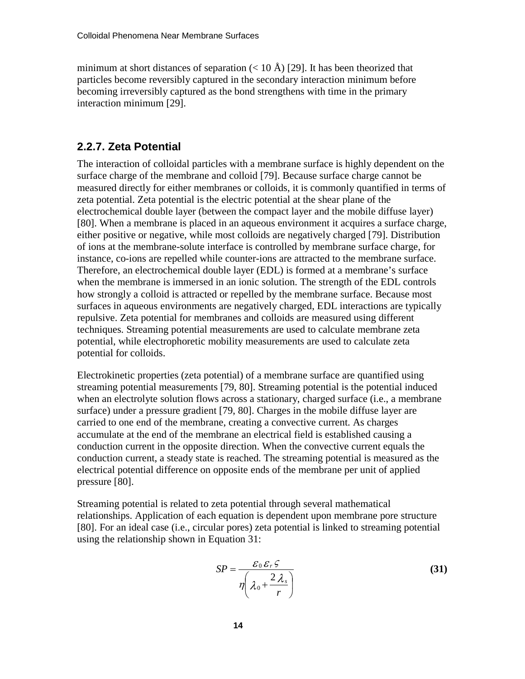minimum at short distances of separation  $(< 10 \text{ Å}$ ) [29]. It has been theorized that particles become reversibly captured in the secondary interaction minimum before becoming irreversibly captured as the bond strengthens with time in the primary interaction minimum [29].

#### <span id="page-18-0"></span>**2.2.7. Zeta Potential**

The interaction of colloidal particles with a membrane surface is highly dependent on the surface charge of the membrane and colloid [79]. Because surface charge cannot be measured directly for either membranes or colloids, it is commonly quantified in terms of zeta potential. Zeta potential is the electric potential at the shear plane of the electrochemical double layer (between the compact layer and the mobile diffuse layer) [80]. When a membrane is placed in an aqueous environment it acquires a surface charge, either positive or negative, while most colloids are negatively charged [79]. Distribution of ions at the membrane-solute interface is controlled by membrane surface charge, for instance, co-ions are repelled while counter-ions are attracted to the membrane surface. Therefore, an electrochemical double layer (EDL) is formed at a membrane's surface when the membrane is immersed in an ionic solution. The strength of the EDL controls how strongly a colloid is attracted or repelled by the membrane surface. Because most surfaces in aqueous environments are negatively charged, EDL interactions are typically repulsive. Zeta potential for membranes and colloids are measured using different techniques. Streaming potential measurements are used to calculate membrane zeta potential, while electrophoretic mobility measurements are used to calculate zeta potential for colloids.

Electrokinetic properties (zeta potential) of a membrane surface are quantified using streaming potential measurements [79, 80]. Streaming potential is the potential induced when an electrolyte solution flows across a stationary, charged surface (i.e., a membrane surface) under a pressure gradient [79, 80]. Charges in the mobile diffuse layer are carried to one end of the membrane, creating a convective current. As charges accumulate at the end of the membrane an electrical field is established causing a conduction current in the opposite direction. When the convective current equals the conduction current, a steady state is reached. The streaming potential is measured as the electrical potential difference on opposite ends of the membrane per unit of applied pressure [80].

Streaming potential is related to zeta potential through several mathematical relationships. Application of each equation is dependent upon membrane pore structure [80]. For an ideal case (i.e., circular pores) zeta potential is linked to streaming potential using the relationship shown in Equation 31:

$$
SP = \frac{\mathcal{E}_0 \mathcal{E}_r \mathcal{E}}{\eta \left( \lambda_0 + \frac{2 \lambda_s}{r} \right)}
$$
(31)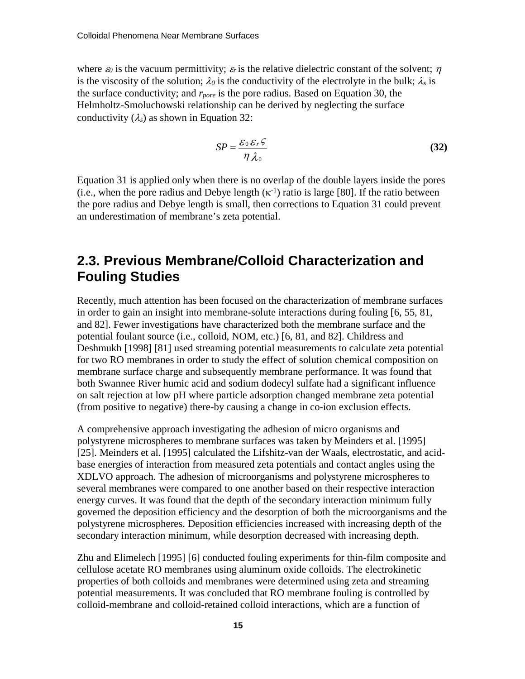where  $\varepsilon_0$  is the vacuum permittivity;  $\varepsilon_r$  is the relative dielectric constant of the solvent;  $\eta$ is the viscosity of the solution;  $\lambda_0$  is the conductivity of the electrolyte in the bulk;  $\lambda_s$  is the surface conductivity; and *rpore* is the pore radius. Based on Equation 30, the Helmholtz-Smoluchowski relationship can be derived by neglecting the surface conductivity  $(\lambda_s)$  as shown in Equation 32:

$$
SP = \frac{\mathcal{E}_0 \mathcal{E}_r \mathcal{E}}{\eta \lambda_0} \tag{32}
$$

Equation 31 is applied only when there is no overlap of the double layers inside the pores (i.e., when the pore radius and Debye length  $(\kappa^{-1})$  ratio is large [80]. If the ratio between the pore radius and Debye length is small, then corrections to Equation 31 could prevent an underestimation of membrane's zeta potential.

#### <span id="page-19-0"></span>**2.3. Previous Membrane/Colloid Characterization and Fouling Studies**

Recently, much attention has been focused on the characterization of membrane surfaces in order to gain an insight into membrane-solute interactions during fouling [6, 55, 81, and 82]. Fewer investigations have characterized both the membrane surface and the potential foulant source (i.e., colloid, NOM, etc.) [6, 81, and 82]. Childress and Deshmukh [1998] [81] used streaming potential measurements to calculate zeta potential for two RO membranes in order to study the effect of solution chemical composition on membrane surface charge and subsequently membrane performance. It was found that both Swannee River humic acid and sodium dodecyl sulfate had a significant influence on salt rejection at low pH where particle adsorption changed membrane zeta potential (from positive to negative) there-by causing a change in co-ion exclusion effects.

A comprehensive approach investigating the adhesion of micro organisms and polystyrene microspheres to membrane surfaces was taken by Meinders et al. [1995] [25]. Meinders et al. [1995] calculated the Lifshitz-van der Waals, electrostatic, and acidbase energies of interaction from measured zeta potentials and contact angles using the XDLVO approach. The adhesion of microorganisms and polystyrene microspheres to several membranes were compared to one another based on their respective interaction energy curves. It was found that the depth of the secondary interaction minimum fully governed the deposition efficiency and the desorption of both the microorganisms and the polystyrene microspheres. Deposition efficiencies increased with increasing depth of the secondary interaction minimum, while desorption decreased with increasing depth.

Zhu and Elimelech [1995] [6] conducted fouling experiments for thin-film composite and cellulose acetate RO membranes using aluminum oxide colloids. The electrokinetic properties of both colloids and membranes were determined using zeta and streaming potential measurements. It was concluded that RO membrane fouling is controlled by colloid-membrane and colloid-retained colloid interactions, which are a function of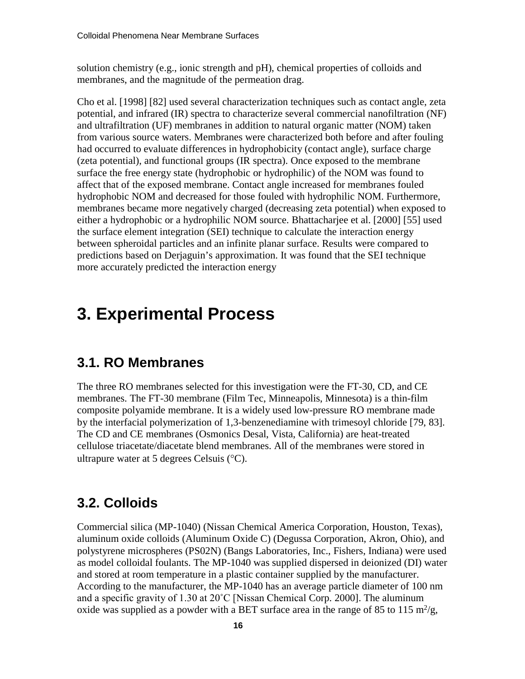solution chemistry (e.g., ionic strength and pH), chemical properties of colloids and membranes, and the magnitude of the permeation drag.

Cho et al. [1998] [82] used several characterization techniques such as contact angle, zeta potential, and infrared (IR) spectra to characterize several commercial nanofiltration (NF) and ultrafiltration (UF) membranes in addition to natural organic matter (NOM) taken from various source waters. Membranes were characterized both before and after fouling had occurred to evaluate differences in hydrophobicity (contact angle), surface charge (zeta potential), and functional groups (IR spectra). Once exposed to the membrane surface the free energy state (hydrophobic or hydrophilic) of the NOM was found to affect that of the exposed membrane. Contact angle increased for membranes fouled hydrophobic NOM and decreased for those fouled with hydrophilic NOM. Furthermore, membranes became more negatively charged (decreasing zeta potential) when exposed to either a hydrophobic or a hydrophilic NOM source. Bhattacharjee et al. [2000] [55] used the surface element integration (SEI) technique to calculate the interaction energy between spheroidal particles and an infinite planar surface. Results were compared to predictions based on Derjaguin's approximation. It was found that the SEI technique more accurately predicted the interaction energy

## <span id="page-20-0"></span>**3. Experimental Process**

#### <span id="page-20-1"></span>**3.1. RO Membranes**

The three RO membranes selected for this investigation were the FT-30, CD, and CE membranes. The FT-30 membrane (Film Tec, Minneapolis, Minnesota) is a thin-film composite polyamide membrane. It is a widely used low-pressure RO membrane made by the interfacial polymerization of 1,3-benzenediamine with trimesoyl chloride [79, 83]. The CD and CE membranes (Osmonics Desal, Vista, California) are heat-treated cellulose triacetate/diacetate blend membranes. All of the membranes were stored in ultrapure water at 5 degrees Celsuis (°C).

## <span id="page-20-2"></span>**3.2. Colloids**

Commercial silica (MP-1040) (Nissan Chemical America Corporation, Houston, Texas), aluminum oxide colloids (Aluminum Oxide C) (Degussa Corporation, Akron, Ohio), and polystyrene microspheres (PS02N) (Bangs Laboratories, Inc., Fishers, Indiana) were used as model colloidal foulants. The MP-1040 was supplied dispersed in deionized (DI) water and stored at room temperature in a plastic container supplied by the manufacturer. According to the manufacturer, the MP-1040 has an average particle diameter of 100 nm and a specific gravity of 1.30 at 20˚C [Nissan Chemical Corp. 2000]. The aluminum oxide was supplied as a powder with a BET surface area in the range of 85 to 115 m<sup>2</sup>/g,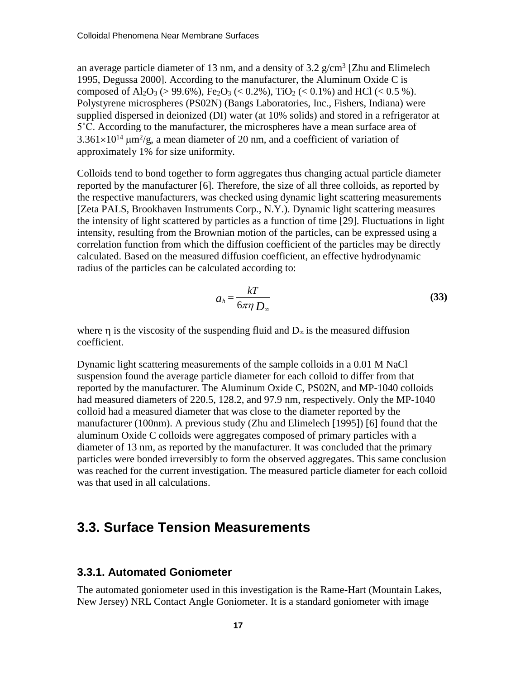an average particle diameter of 13 nm, and a density of 3.2  $g/cm^3$  [Zhu and Elimelech 1995, Degussa 2000]. According to the manufacturer, the Aluminum Oxide C is composed of Al<sub>2</sub>O<sub>3</sub> (> 99.6%), Fe<sub>2</sub>O<sub>3</sub> (< 0.2%), TiO<sub>2</sub> (< 0.1%) and HCl (< 0.5 %). Polystyrene microspheres (PS02N) (Bangs Laboratories, Inc., Fishers, Indiana) were supplied dispersed in deionized (DI) water (at 10% solids) and stored in a refrigerator at 5˚C. According to the manufacturer, the microspheres have a mean surface area of  $3.361\times10^{14}$  µm<sup>2</sup>/g, a mean diameter of 20 nm, and a coefficient of variation of approximately 1% for size uniformity.

Colloids tend to bond together to form aggregates thus changing actual particle diameter reported by the manufacturer [6]. Therefore, the size of all three colloids, as reported by the respective manufacturers, was checked using dynamic light scattering measurements [Zeta PALS, Brookhaven Instruments Corp., N.Y.). Dynamic light scattering measures the intensity of light scattered by particles as a function of time [29]. Fluctuations in light intensity, resulting from the Brownian motion of the particles, can be expressed using a correlation function from which the diffusion coefficient of the particles may be directly calculated. Based on the measured diffusion coefficient, an effective hydrodynamic radius of the particles can be calculated according to:

$$
a_h = \frac{kT}{6\pi\eta D_\infty} \tag{33}
$$

where  $\eta$  is the viscosity of the suspending fluid and D∝ is the measured diffusion coefficient.

Dynamic light scattering measurements of the sample colloids in a 0.01 M NaCl suspension found the average particle diameter for each colloid to differ from that reported by the manufacturer. The Aluminum Oxide C, PS02N, and MP-1040 colloids had measured diameters of 220.5, 128.2, and 97.9 nm, respectively. Only the MP-1040 colloid had a measured diameter that was close to the diameter reported by the manufacturer (100nm). A previous study (Zhu and Elimelech [1995]) [6] found that the aluminum Oxide C colloids were aggregates composed of primary particles with a diameter of 13 nm, as reported by the manufacturer. It was concluded that the primary particles were bonded irreversibly to form the observed aggregates. This same conclusion was reached for the current investigation. The measured particle diameter for each colloid was that used in all calculations.

#### <span id="page-21-0"></span>**3.3. Surface Tension Measurements**

#### <span id="page-21-1"></span>**3.3.1. Automated Goniometer**

The automated goniometer used in this investigation is the Rame-Hart (Mountain Lakes, New Jersey) NRL Contact Angle Goniometer. It is a standard goniometer with image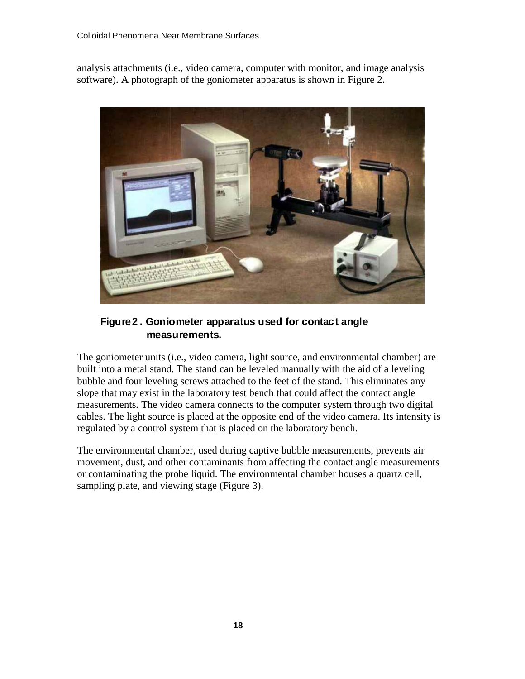analysis attachments (i.e., video camera, computer with monitor, and image analysis software). A photograph of the goniometer apparatus is shown in Figure 2.



#### **Figure 2 . Goniometer apparatus used for contact angle measurements.**

The goniometer units (i.e., video camera, light source, and environmental chamber) are built into a metal stand. The stand can be leveled manually with the aid of a leveling bubble and four leveling screws attached to the feet of the stand. This eliminates any slope that may exist in the laboratory test bench that could affect the contact angle measurements. The video camera connects to the computer system through two digital cables. The light source is placed at the opposite end of the video camera. Its intensity is regulated by a control system that is placed on the laboratory bench.

The environmental chamber, used during captive bubble measurements, prevents air movement, dust, and other contaminants from affecting the contact angle measurements or contaminating the probe liquid. The environmental chamber houses a quartz cell, sampling plate, and viewing stage (Figure 3).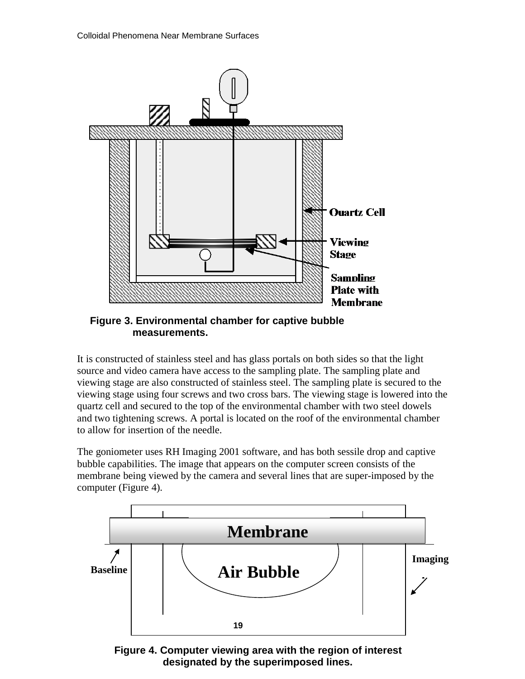

**Figure 3. Environmental chamber for captive bubble measurements.**

It is constructed of stainless steel and has glass portals on both sides so that the light source and video camera have access to the sampling plate. The sampling plate and viewing stage are also constructed of stainless steel. The sampling plate is secured to the viewing stage using four screws and two cross bars. The viewing stage is lowered into the quartz cell and secured to the top of the environmental chamber with two steel dowels and two tightening screws. A portal is located on the roof of the environmental chamber to allow for insertion of the needle.

The goniometer uses RH Imaging 2001 software, and has both sessile drop and captive bubble capabilities. The image that appears on the computer screen consists of the membrane being viewed by the camera and several lines that are super-imposed by the computer (Figure 4).



**Figure 4. Computer viewing area with the region of interest designated by the superimposed lines.**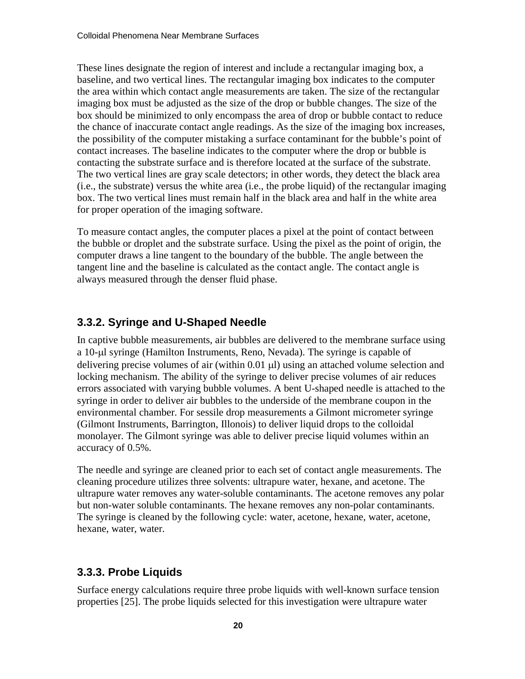These lines designate the region of interest and include a rectangular imaging box, a baseline, and two vertical lines. The rectangular imaging box indicates to the computer the area within which contact angle measurements are taken. The size of the rectangular imaging box must be adjusted as the size of the drop or bubble changes. The size of the box should be minimized to only encompass the area of drop or bubble contact to reduce the chance of inaccurate contact angle readings. As the size of the imaging box increases, the possibility of the computer mistaking a surface contaminant for the bubble's point of contact increases. The baseline indicates to the computer where the drop or bubble is contacting the substrate surface and is therefore located at the surface of the substrate. The two vertical lines are gray scale detectors; in other words, they detect the black area (i.e., the substrate) versus the white area (i.e., the probe liquid) of the rectangular imaging box. The two vertical lines must remain half in the black area and half in the white area for proper operation of the imaging software.

To measure contact angles, the computer places a pixel at the point of contact between the bubble or droplet and the substrate surface. Using the pixel as the point of origin, the computer draws a line tangent to the boundary of the bubble. The angle between the tangent line and the baseline is calculated as the contact angle. The contact angle is always measured through the denser fluid phase.

#### <span id="page-24-0"></span>**3.3.2. Syringe and U-Shaped Needle**

In captive bubble measurements, air bubbles are delivered to the membrane surface using a 10-µl syringe (Hamilton Instruments, Reno, Nevada). The syringe is capable of delivering precise volumes of air (within 0.01 µl) using an attached volume selection and locking mechanism. The ability of the syringe to deliver precise volumes of air reduces errors associated with varying bubble volumes. A bent U-shaped needle is attached to the syringe in order to deliver air bubbles to the underside of the membrane coupon in the environmental chamber. For sessile drop measurements a Gilmont micrometer syringe (Gilmont Instruments, Barrington, Illonois) to deliver liquid drops to the colloidal monolayer. The Gilmont syringe was able to deliver precise liquid volumes within an accuracy of 0.5%.

The needle and syringe are cleaned prior to each set of contact angle measurements. The cleaning procedure utilizes three solvents: ultrapure water, hexane, and acetone. The ultrapure water removes any water-soluble contaminants. The acetone removes any polar but non-water soluble contaminants. The hexane removes any non-polar contaminants. The syringe is cleaned by the following cycle: water, acetone, hexane, water, acetone, hexane, water, water.

#### <span id="page-24-1"></span>**3.3.3. Probe Liquids**

Surface energy calculations require three probe liquids with well-known surface tension properties [25]. The probe liquids selected for this investigation were ultrapure water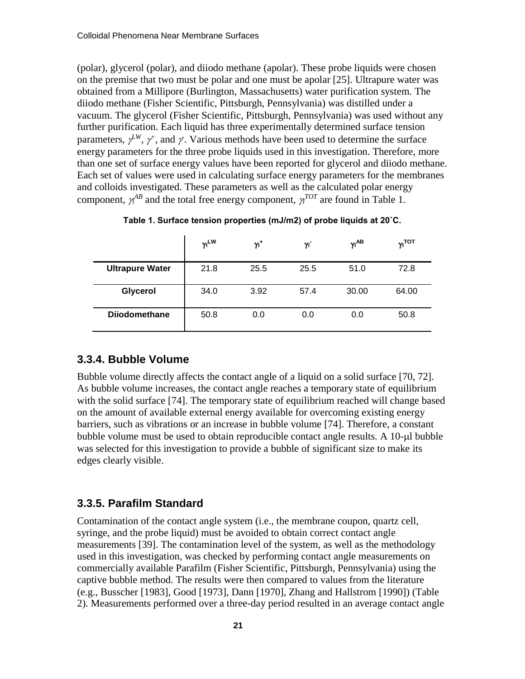(polar), glycerol (polar), and diiodo methane (apolar). These probe liquids were chosen on the premise that two must be polar and one must be apolar [25]. Ultrapure water was obtained from a Millipore (Burlington, Massachusetts) water purification system. The diiodo methane (Fisher Scientific, Pittsburgh, Pennsylvania) was distilled under a vacuum. The glycerol (Fisher Scientific, Pittsburgh, Pennsylvania) was used without any further purification. Each liquid has three experimentally determined surface tension parameters,  $\gamma^L$ ,  $\gamma^+$ , and  $\gamma$ . Various methods have been used to determine the surface energy parameters for the three probe liquids used in this investigation. Therefore, more than one set of surface energy values have been reported for glycerol and diiodo methane. Each set of values were used in calculating surface energy parameters for the membranes and colloids investigated. These parameters as well as the calculated polar energy component,  $\gamma^{AB}$  and the total free energy component,  $\gamma^{TOT}$  are found in Table 1.

|                        | $\gamma$ <sup>LW</sup> | $\gamma_1^+$ | γī   | $\gamma$ <sup>AB</sup> | $v_I$ тот |
|------------------------|------------------------|--------------|------|------------------------|-----------|
| <b>Ultrapure Water</b> | 21.8                   | 25.5         | 25.5 | 51.0                   | 72.8      |
| Glycerol               | 34.0                   | 3.92         | 57.4 | 30.00                  | 64.00     |
| <b>Diiodomethane</b>   | 50.8                   | 0.0          | 0.0  | 0.0                    | 50.8      |

**Table 1. Surface tension properties (mJ/m2) of probe liquids at 20˚C.**

#### <span id="page-25-0"></span>**3.3.4. Bubble Volume**

Bubble volume directly affects the contact angle of a liquid on a solid surface [70, 72]. As bubble volume increases, the contact angle reaches a temporary state of equilibrium with the solid surface [74]. The temporary state of equilibrium reached will change based on the amount of available external energy available for overcoming existing energy barriers, such as vibrations or an increase in bubble volume [74]. Therefore, a constant bubble volume must be used to obtain reproducible contact angle results. A 10-µl bubble was selected for this investigation to provide a bubble of significant size to make its edges clearly visible.

#### <span id="page-25-1"></span>**3.3.5. Parafilm Standard**

Contamination of the contact angle system (i.e., the membrane coupon, quartz cell, syringe, and the probe liquid) must be avoided to obtain correct contact angle measurements [39]. The contamination level of the system, as well as the methodology used in this investigation, was checked by performing contact angle measurements on commercially available Parafilm (Fisher Scientific, Pittsburgh, Pennsylvania) using the captive bubble method. The results were then compared to values from the literature (e.g., Busscher [1983], Good [1973], Dann [1970], Zhang and Hallstrom [1990]) (Table 2). Measurements performed over a three-day period resulted in an average contact angle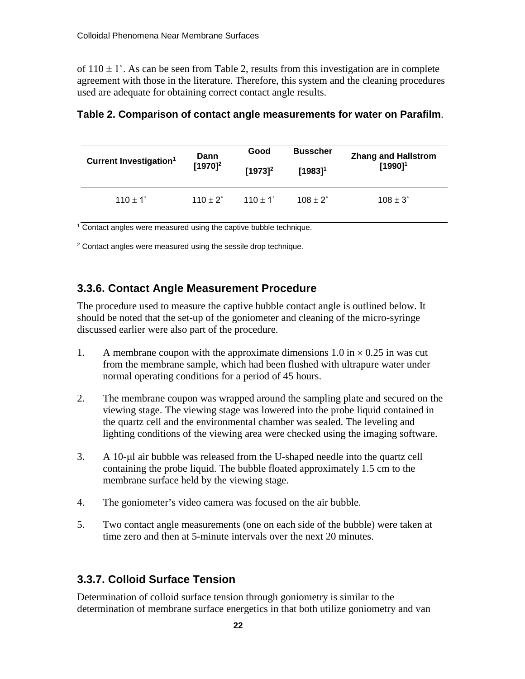of  $110 \pm 1^{\circ}$ . As can be seen from Table 2, results from this investigation are in complete agreement with those in the literature. Therefore, this system and the cleaning procedures used are adequate for obtaining correct contact angle results.

| Current Investigation <sup>1</sup> | Dann                   | Good              | <b>Busscher</b>   | <b>Zhang and Hallstrom</b> |
|------------------------------------|------------------------|-------------------|-------------------|----------------------------|
|                                    | $[1970]^{2}$           | $[1973]^{2}$      | $[1983]^{1}$      | $[1990]^{1}$               |
| $110 \pm 1^{\circ}$                | 110 $\pm$ 2 $^{\circ}$ | $110 + 1^{\circ}$ | $108 + 2^{\circ}$ | $108 \pm 3^{\circ}$        |

#### **Table 2. Comparison of contact angle measurements for water on Parafilm**.

<sup>1</sup> Contact angles were measured using the captive bubble technique.

<span id="page-26-0"></span> $2$  Contact angles were measured using the sessile drop technique.

#### **3.3.6. Contact Angle Measurement Procedure**

The procedure used to measure the captive bubble contact angle is outlined below. It should be noted that the set-up of the goniometer and cleaning of the micro-syringe discussed earlier were also part of the procedure.

- 1. A membrane coupon with the approximate dimensions  $1.0 \text{ in} \times 0.25 \text{ in}$  was cut from the membrane sample, which had been flushed with ultrapure water under normal operating conditions for a period of 45 hours.
- 2. The membrane coupon was wrapped around the sampling plate and secured on the viewing stage. The viewing stage was lowered into the probe liquid contained in the quartz cell and the environmental chamber was sealed. The leveling and lighting conditions of the viewing area were checked using the imaging software.
- 3. A 10-µl air bubble was released from the U-shaped needle into the quartz cell containing the probe liquid. The bubble floated approximately 1.5 cm to the membrane surface held by the viewing stage.
- 4. The goniometer's video camera was focused on the air bubble.
- 5. Two contact angle measurements (one on each side of the bubble) were taken at time zero and then at 5-minute intervals over the next 20 minutes.

#### <span id="page-26-1"></span>**3.3.7. Colloid Surface Tension**

Determination of colloid surface tension through goniometry is similar to the determination of membrane surface energetics in that both utilize goniometry and van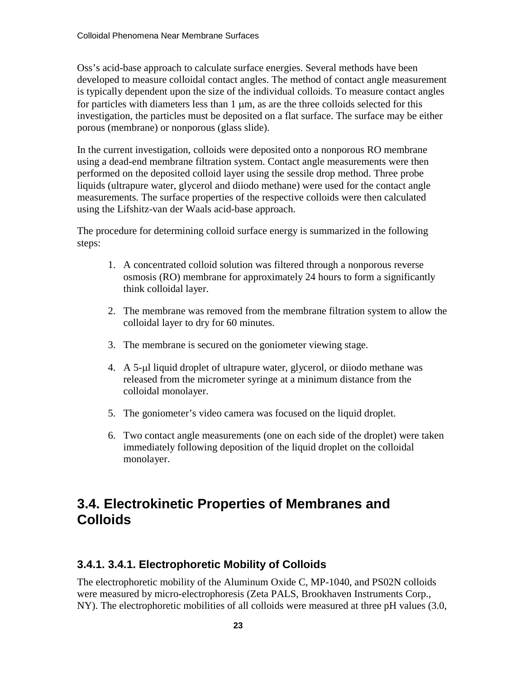Oss's acid-base approach to calculate surface energies. Several methods have been developed to measure colloidal contact angles. The method of contact angle measurement is typically dependent upon the size of the individual colloids. To measure contact angles for particles with diameters less than  $1 \mu m$ , as are the three colloids selected for this investigation, the particles must be deposited on a flat surface. The surface may be either porous (membrane) or nonporous (glass slide).

In the current investigation, colloids were deposited onto a nonporous RO membrane using a dead-end membrane filtration system. Contact angle measurements were then performed on the deposited colloid layer using the sessile drop method. Three probe liquids (ultrapure water, glycerol and diiodo methane) were used for the contact angle measurements. The surface properties of the respective colloids were then calculated using the Lifshitz-van der Waals acid-base approach.

The procedure for determining colloid surface energy is summarized in the following steps:

- 1. A concentrated colloid solution was filtered through a nonporous reverse osmosis (RO) membrane for approximately 24 hours to form a significantly think colloidal layer.
- 2. The membrane was removed from the membrane filtration system to allow the colloidal layer to dry for 60 minutes.
- 3. The membrane is secured on the goniometer viewing stage.
- 4. A 5-µl liquid droplet of ultrapure water, glycerol, or diiodo methane was released from the micrometer syringe at a minimum distance from the colloidal monolayer.
- 5. The goniometer's video camera was focused on the liquid droplet.
- 6. Two contact angle measurements (one on each side of the droplet) were taken immediately following deposition of the liquid droplet on the colloidal monolayer.

## <span id="page-27-0"></span>**3.4. Electrokinetic Properties of Membranes and Colloids**

#### <span id="page-27-1"></span>**3.4.1. 3.4.1. Electrophoretic Mobility of Colloids**

The electrophoretic mobility of the Aluminum Oxide C, MP-1040, and PS02N colloids were measured by micro-electrophoresis (Zeta PALS, Brookhaven Instruments Corp., NY). The electrophoretic mobilities of all colloids were measured at three pH values (3.0,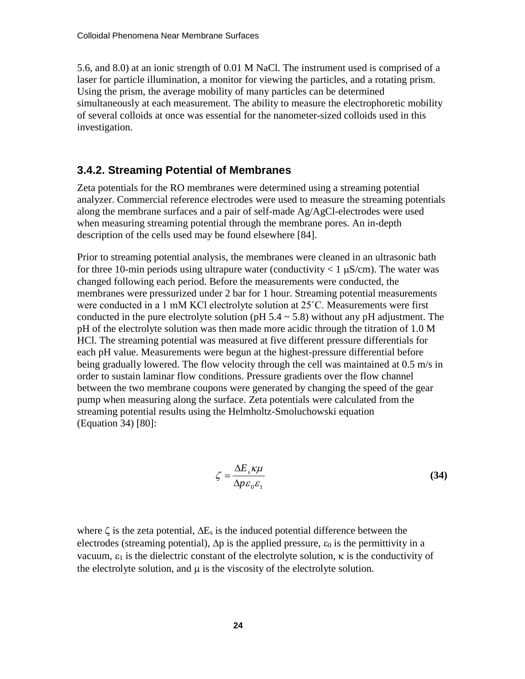5.6, and 8.0) at an ionic strength of 0.01 M NaCl. The instrument used is comprised of a laser for particle illumination, a monitor for viewing the particles, and a rotating prism. Using the prism, the average mobility of many particles can be determined simultaneously at each measurement. The ability to measure the electrophoretic mobility of several colloids at once was essential for the nanometer-sized colloids used in this investigation.

#### <span id="page-28-0"></span>**3.4.2. Streaming Potential of Membranes**

Zeta potentials for the RO membranes were determined using a streaming potential analyzer. Commercial reference electrodes were used to measure the streaming potentials along the membrane surfaces and a pair of self-made Ag/AgCl-electrodes were used when measuring streaming potential through the membrane pores. An in-depth description of the cells used may be found elsewhere [84].

Prior to streaming potential analysis, the membranes were cleaned in an ultrasonic bath for three 10-min periods using ultrapure water (conductivity  $\lt 1 \mu S/cm$ ). The water was changed following each period. Before the measurements were conducted, the membranes were pressurized under 2 bar for 1 hour. Streaming potential measurements were conducted in a 1 mM KCl electrolyte solution at 25˚C. Measurements were first conducted in the pure electrolyte solution (pH  $5.4 \sim 5.8$ ) without any pH adjustment. The pH of the electrolyte solution was then made more acidic through the titration of 1.0 M HCl. The streaming potential was measured at five different pressure differentials for each pH value. Measurements were begun at the highest-pressure differential before being gradually lowered. The flow velocity through the cell was maintained at 0.5 m/s in order to sustain laminar flow conditions. Pressure gradients over the flow channel between the two membrane coupons were generated by changing the speed of the gear pump when measuring along the surface. Zeta potentials were calculated from the streaming potential results using the Helmholtz-Smoluchowski equation (Equation 34) [80]:

$$
\zeta = \frac{\Delta E_s \kappa \mu}{\Delta p \varepsilon_0 \varepsilon_1} \tag{34}
$$

where  $\zeta$  is the zeta potential,  $\Delta E_s$  is the induced potential difference between the electrodes (streaming potential),  $\Delta p$  is the applied pressure,  $\varepsilon_0$  is the permittivity in a vacuum,  $ε_1$  is the dielectric constant of the electrolyte solution,  $κ$  is the conductivity of the electrolyte solution, and  $\mu$  is the viscosity of the electrolyte solution.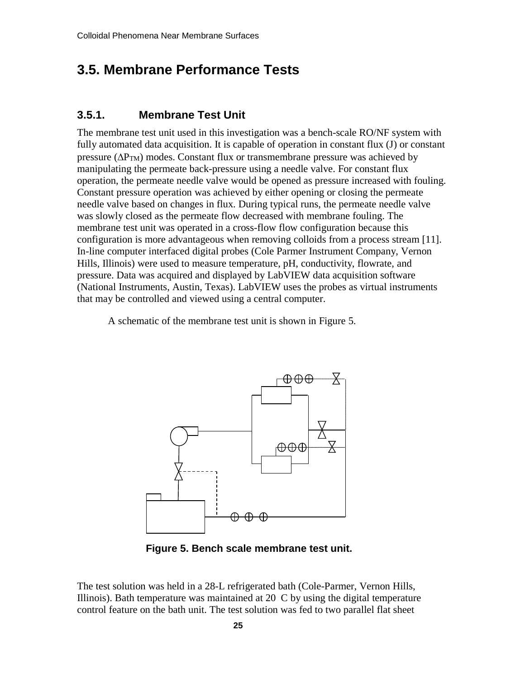## <span id="page-29-0"></span>**3.5. Membrane Performance Tests**

#### <span id="page-29-1"></span>**3.5.1. Membrane Test Unit**

The membrane test unit used in this investigation was a bench-scale RO/NF system with fully automated data acquisition. It is capable of operation in constant flux (J) or constant pressure ( $\Delta P_{TM}$ ) modes. Constant flux or transmembrane pressure was achieved by manipulating the permeate back-pressure using a needle valve. For constant flux operation, the permeate needle valve would be opened as pressure increased with fouling. Constant pressure operation was achieved by either opening or closing the permeate needle valve based on changes in flux. During typical runs, the permeate needle valve was slowly closed as the permeate flow decreased with membrane fouling. The membrane test unit was operated in a cross-flow flow configuration because this configuration is more advantageous when removing colloids from a process stream [11]. In-line computer interfaced digital probes (Cole Parmer Instrument Company, Vernon Hills, Illinois) were used to measure temperature, pH, conductivity, flowrate, and pressure. Data was acquired and displayed by LabVIEW data acquisition software (National Instruments, Austin, Texas). LabVIEW uses the probes as virtual instruments that may be controlled and viewed using a central computer.

A schematic of the membrane test unit is shown in Figure 5.



**Figure 5. Bench scale membrane test unit.**

The test solution was held in a 28-L refrigerated bath (Cole-Parmer, Vernon Hills, Illinois). Bath temperature was maintained at 20 C by using the digital temperature control feature on the bath unit. The test solution was fed to two parallel flat sheet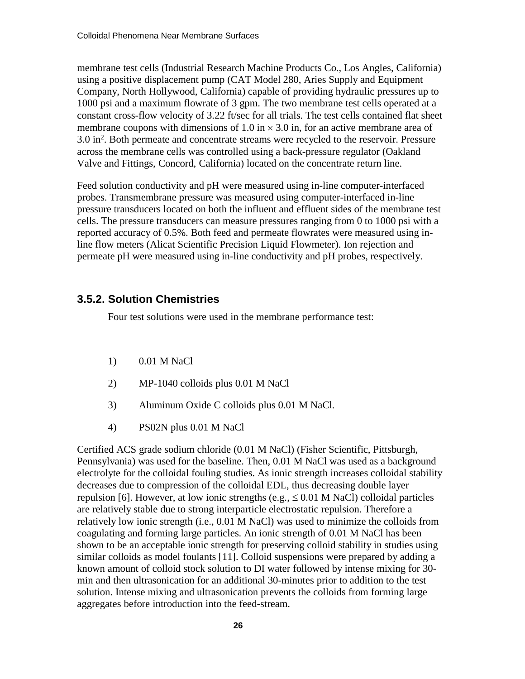membrane test cells (Industrial Research Machine Products Co., Los Angles, California) using a positive displacement pump (CAT Model 280, Aries Supply and Equipment Company, North Hollywood, California) capable of providing hydraulic pressures up to 1000 psi and a maximum flowrate of 3 gpm. The two membrane test cells operated at a constant cross-flow velocity of 3.22 ft/sec for all trials. The test cells contained flat sheet membrane coupons with dimensions of 1.0 in  $\times$  3.0 in, for an active membrane area of 3.0 in<sup>2</sup>. Both permeate and concentrate streams were recycled to the reservoir. Pressure across the membrane cells was controlled using a back-pressure regulator (Oakland Valve and Fittings, Concord, California) located on the concentrate return line.

Feed solution conductivity and pH were measured using in-line computer-interfaced probes. Transmembrane pressure was measured using computer-interfaced in-line pressure transducers located on both the influent and effluent sides of the membrane test cells. The pressure transducers can measure pressures ranging from 0 to 1000 psi with a reported accuracy of 0.5%. Both feed and permeate flowrates were measured using inline flow meters (Alicat Scientific Precision Liquid Flowmeter). Ion rejection and permeate pH were measured using in-line conductivity and pH probes, respectively.

#### <span id="page-30-0"></span>**3.5.2. Solution Chemistries**

Four test solutions were used in the membrane performance test:

- 1) 0.01 M NaCl
- 2) MP-1040 colloids plus 0.01 M NaCl
- 3) Aluminum Oxide C colloids plus 0.01 M NaCl.
- 4) PS02N plus 0.01 M NaCl

Certified ACS grade sodium chloride (0.01 M NaCl) (Fisher Scientific, Pittsburgh, Pennsylvania) was used for the baseline. Then, 0.01 M NaCl was used as a background electrolyte for the colloidal fouling studies. As ionic strength increases colloidal stability decreases due to compression of the colloidal EDL, thus decreasing double layer repulsion [6]. However, at low ionic strengths (e.g.,  $\leq 0.01$  M NaCl) colloidal particles are relatively stable due to strong interparticle electrostatic repulsion. Therefore a relatively low ionic strength (i.e., 0.01 M NaCl) was used to minimize the colloids from coagulating and forming large particles. An ionic strength of 0.01 M NaCl has been shown to be an acceptable ionic strength for preserving colloid stability in studies using similar colloids as model foulants [11]. Colloid suspensions were prepared by adding a known amount of colloid stock solution to DI water followed by intense mixing for 30 min and then ultrasonication for an additional 30-minutes prior to addition to the test solution. Intense mixing and ultrasonication prevents the colloids from forming large aggregates before introduction into the feed-stream.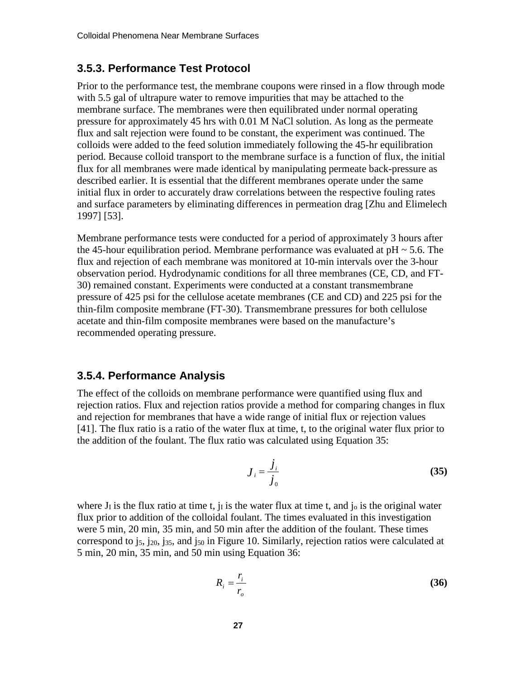#### <span id="page-31-0"></span>**3.5.3. Performance Test Protocol**

Prior to the performance test, the membrane coupons were rinsed in a flow through mode with 5.5 gal of ultrapure water to remove impurities that may be attached to the membrane surface. The membranes were then equilibrated under normal operating pressure for approximately 45 hrs with 0.01 M NaCl solution. As long as the permeate flux and salt rejection were found to be constant, the experiment was continued. The colloids were added to the feed solution immediately following the 45-hr equilibration period. Because colloid transport to the membrane surface is a function of flux, the initial flux for all membranes were made identical by manipulating permeate back-pressure as described earlier. It is essential that the different membranes operate under the same initial flux in order to accurately draw correlations between the respective fouling rates and surface parameters by eliminating differences in permeation drag [Zhu and Elimelech 1997] [53].

Membrane performance tests were conducted for a period of approximately 3 hours after the 45-hour equilibration period. Membrane performance was evaluated at  $pH \sim 5.6$ . The flux and rejection of each membrane was monitored at 10-min intervals over the 3-hour observation period. Hydrodynamic conditions for all three membranes (CE, CD, and FT-30) remained constant. Experiments were conducted at a constant transmembrane pressure of 425 psi for the cellulose acetate membranes (CE and CD) and 225 psi for the thin-film composite membrane (FT-30). Transmembrane pressures for both cellulose acetate and thin-film composite membranes were based on the manufacture's recommended operating pressure.

#### <span id="page-31-1"></span>**3.5.4. Performance Analysis**

The effect of the colloids on membrane performance were quantified using flux and rejection ratios. Flux and rejection ratios provide a method for comparing changes in flux and rejection for membranes that have a wide range of initial flux or rejection values [41]. The flux ratio is a ratio of the water flux at time, t, to the original water flux prior to the addition of the foulant. The flux ratio was calculated using Equation 35:

$$
J_i = \frac{\dot{J}_i}{\dot{J}_0} \tag{35}
$$

where  $J_I$  is the flux ratio at time t,  $J_I$  is the water flux at time t, and  $J_O$  is the original water flux prior to addition of the colloidal foulant. The times evaluated in this investigation were 5 min, 20 min, 35 min, and 50 min after the addition of the foulant. These times correspond to j5, j20, j35, and j50 in Figure 10. Similarly, rejection ratios were calculated at 5 min, 20 min, 35 min, and 50 min using Equation 36:

$$
R_i = \frac{r_i}{r_o} \tag{36}
$$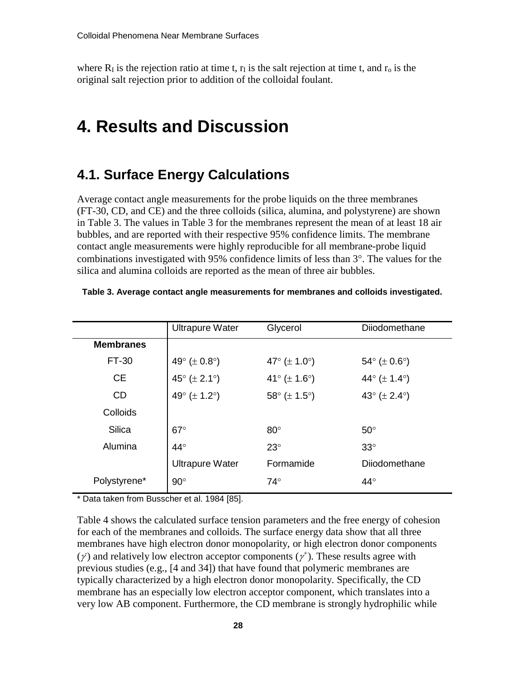where  $R<sub>I</sub>$  is the rejection ratio at time t,  $r<sub>I</sub>$  is the salt rejection at time t, and  $r<sub>o</sub>$  is the original salt rejection prior to addition of the colloidal foulant.

## <span id="page-32-0"></span>**4. Results and Discussion**

#### <span id="page-32-1"></span>**4.1. Surface Energy Calculations**

Average contact angle measurements for the probe liquids on the three membranes (FT-30, CD, and CE) and the three colloids (silica, alumina, and polystyrene) are shown in Table 3. The values in Table 3 for the membranes represent the mean of at least 18 air bubbles, and are reported with their respective 95% confidence limits. The membrane contact angle measurements were highly reproducible for all membrane-probe liquid combinations investigated with 95% confidence limits of less than 3°. The values for the silica and alumina colloids are reported as the mean of three air bubbles.

|                  | <b>Ultrapure Water</b>                 | Glycerol                               | Diiodomethane                          |
|------------------|----------------------------------------|----------------------------------------|----------------------------------------|
| <b>Membranes</b> |                                        |                                        |                                        |
| FT-30            | 49 $^{\circ}$ ( $\pm$ 0.8 $^{\circ}$ ) | 47 $^{\circ}$ ( $\pm$ 1.0 $^{\circ}$ ) | $54^{\circ}$ ( $\pm$ 0.6°)             |
| <b>CE</b>        | 45 $^{\circ}$ ( $\pm$ 2.1 $^{\circ}$ ) | 41° ( $\pm$ 1.6°)                      | 44 $\circ$ ( $\pm$ 1.4 $\circ$ )       |
| <b>CD</b>        | 49 $^{\circ}$ ( $\pm$ 1.2 $^{\circ}$ ) | 58 $^{\circ}$ ( $\pm$ 1.5 $^{\circ}$ ) | 43 $^{\circ}$ ( $\pm$ 2.4 $^{\circ}$ ) |
| Colloids         |                                        |                                        |                                        |
| <b>Silica</b>    | $67^\circ$                             | $80^\circ$                             | $50^\circ$                             |
| Alumina          | $44^\circ$                             | $23^\circ$                             | $33^\circ$                             |
|                  | <b>Ultrapure Water</b>                 | Formamide                              | Dijodomethane                          |
| Polystyrene*     | $90^\circ$                             | $74^\circ$                             | $44^{\circ}$                           |
|                  |                                        |                                        |                                        |

**Table 3. Average contact angle measurements for membranes and colloids investigated.**

\* Data taken from Busscher et al. 1984 [85].

Table 4 shows the calculated surface tension parameters and the free energy of cohesion for each of the membranes and colloids. The surface energy data show that all three membranes have high electron donor monopolarity, or high electron donor components ( $\gamma$ ) and relatively low electron acceptor components ( $\gamma$ <sup>+</sup>). These results agree with previous studies (e.g., [4 and 34]) that have found that polymeric membranes are typically characterized by a high electron donor monopolarity. Specifically, the CD membrane has an especially low electron acceptor component, which translates into a very low AB component. Furthermore, the CD membrane is strongly hydrophilic while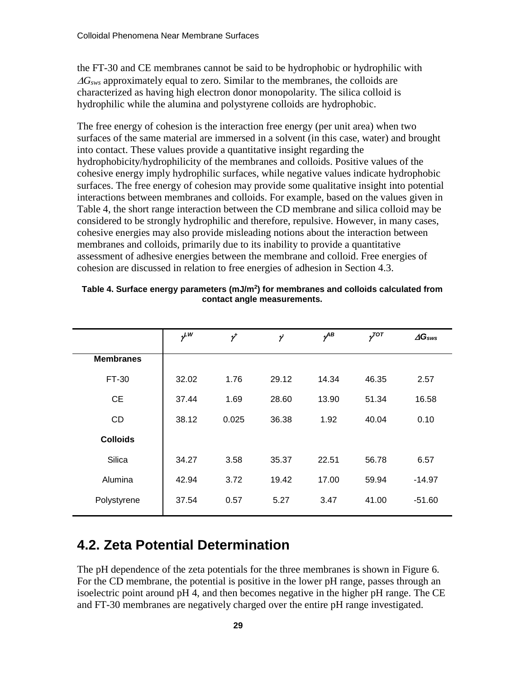the FT-30 and CE membranes cannot be said to be hydrophobic or hydrophilic with <sup>∆</sup>*Gsws* approximately equal to zero. Similar to the membranes, the colloids are characterized as having high electron donor monopolarity. The silica colloid is hydrophilic while the alumina and polystyrene colloids are hydrophobic.

The free energy of cohesion is the interaction free energy (per unit area) when two surfaces of the same material are immersed in a solvent (in this case, water) and brought into contact. These values provide a quantitative insight regarding the hydrophobicity/hydrophilicity of the membranes and colloids. Positive values of the cohesive energy imply hydrophilic surfaces, while negative values indicate hydrophobic surfaces. The free energy of cohesion may provide some qualitative insight into potential interactions between membranes and colloids. For example, based on the values given in Table 4, the short range interaction between the CD membrane and silica colloid may be considered to be strongly hydrophilic and therefore, repulsive. However, in many cases, cohesive energies may also provide misleading notions about the interaction between membranes and colloids, primarily due to its inability to provide a quantitative assessment of adhesive energies between the membrane and colloid. Free energies of cohesion are discussed in relation to free energies of adhesion in Section 4.3.

|                  | $v^{\mu}$ | $\gamma^{\!\star}$ | γ     | $\nu^{AB}$ | $\gamma^{TOT}$ | $\Delta G$ sws |
|------------------|-----------|--------------------|-------|------------|----------------|----------------|
| <b>Membranes</b> |           |                    |       |            |                |                |
| FT-30            | 32.02     | 1.76               | 29.12 | 14.34      | 46.35          | 2.57           |
| <b>CE</b>        | 37.44     | 1.69               | 28.60 | 13.90      | 51.34          | 16.58          |
| <b>CD</b>        | 38.12     | 0.025              | 36.38 | 1.92       | 40.04          | 0.10           |
| <b>Colloids</b>  |           |                    |       |            |                |                |
| Silica           | 34.27     | 3.58               | 35.37 | 22.51      | 56.78          | 6.57           |
| Alumina          | 42.94     | 3.72               | 19.42 | 17.00      | 59.94          | $-14.97$       |
| Polystyrene      | 37.54     | 0.57               | 5.27  | 3.47       | 41.00          | $-51.60$       |

**Table 4. Surface energy parameters (mJ/m2) for membranes and colloids calculated from contact angle measurements.**

## <span id="page-33-0"></span>**4.2. Zeta Potential Determination**

The pH dependence of the zeta potentials for the three membranes is shown in Figure 6. For the CD membrane, the potential is positive in the lower pH range, passes through an isoelectric point around pH 4, and then becomes negative in the higher pH range. The CE and FT-30 membranes are negatively charged over the entire pH range investigated.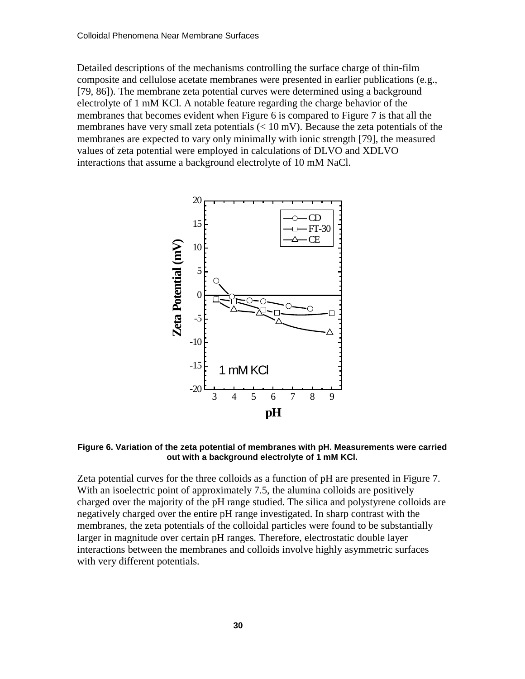Detailed descriptions of the mechanisms controlling the surface charge of thin-film composite and cellulose acetate membranes were presented in earlier publications (e.g., [79, 86]). The membrane zeta potential curves were determined using a background electrolyte of 1 mM KCl. A notable feature regarding the charge behavior of the membranes that becomes evident when Figure 6 is compared to Figure 7 is that all the membranes have very small zeta potentials  $(< 10 \text{ mV})$ . Because the zeta potentials of the membranes are expected to vary only minimally with ionic strength [79], the measured values of zeta potential were employed in calculations of DLVO and XDLVO interactions that assume a background electrolyte of 10 mM NaCl.



**Figure 6. Variation of the zeta potential of membranes with pH. Measurements were carried out with a background electrolyte of 1 mM KCl.**

Zeta potential curves for the three colloids as a function of pH are presented in Figure 7. With an isoelectric point of approximately 7.5, the alumina colloids are positively charged over the majority of the pH range studied. The silica and polystyrene colloids are negatively charged over the entire pH range investigated. In sharp contrast with the membranes, the zeta potentials of the colloidal particles were found to be substantially larger in magnitude over certain pH ranges. Therefore, electrostatic double layer interactions between the membranes and colloids involve highly asymmetric surfaces with very different potentials.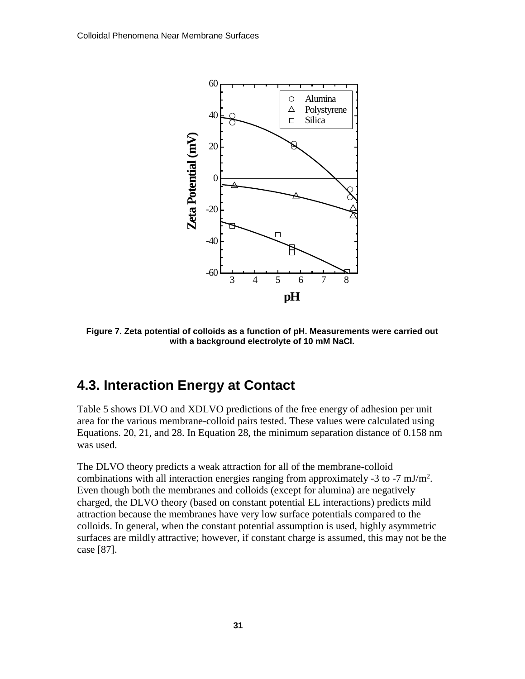

**Figure 7. Zeta potential of colloids as a function of pH. Measurements were carried out with a background electrolyte of 10 mM NaCl.**

## <span id="page-35-0"></span>**4.3. Interaction Energy at Contact**

Table 5 shows DLVO and XDLVO predictions of the free energy of adhesion per unit area for the various membrane-colloid pairs tested. These values were calculated using Equations. 20, 21, and 28. In Equation 28, the minimum separation distance of 0.158 nm was used.

The DLVO theory predicts a weak attraction for all of the membrane-colloid combinations with all interaction energies ranging from approximately -3 to -7  $mJ/m<sup>2</sup>$ . Even though both the membranes and colloids (except for alumina) are negatively charged, the DLVO theory (based on constant potential EL interactions) predicts mild attraction because the membranes have very low surface potentials compared to the colloids. In general, when the constant potential assumption is used, highly asymmetric surfaces are mildly attractive; however, if constant charge is assumed, this may not be the case [87].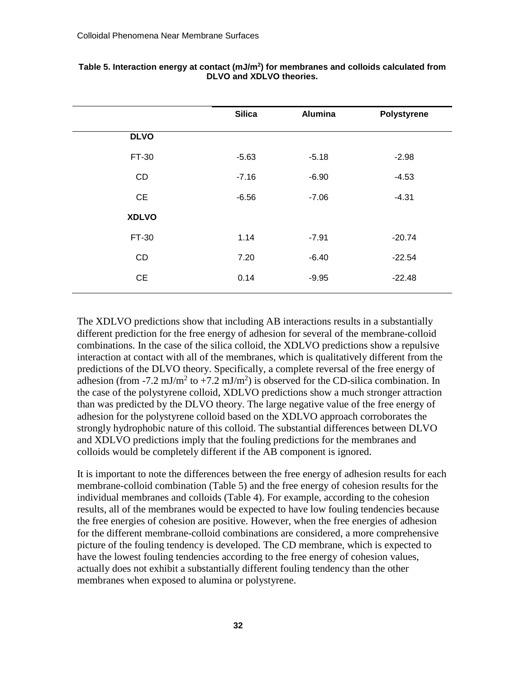|              | <b>Silica</b> | <b>Alumina</b> | Polystyrene |
|--------------|---------------|----------------|-------------|
| <b>DLVO</b>  |               |                |             |
| FT-30        | $-5.63$       | $-5.18$        | $-2.98$     |
| CD           | $-7.16$       | $-6.90$        | $-4.53$     |
| <b>CE</b>    | $-6.56$       | $-7.06$        | $-4.31$     |
| <b>XDLVO</b> |               |                |             |
| FT-30        | 1.14          | $-7.91$        | $-20.74$    |
| CD           | 7.20          | $-6.40$        | $-22.54$    |
| CE           | 0.14          | $-9.95$        | $-22.48$    |
|              |               |                |             |

#### **Table 5. Interaction energy at contact (mJ/m2) for membranes and colloids calculated from DLVO and XDLVO theories.**

The XDLVO predictions show that including AB interactions results in a substantially different prediction for the free energy of adhesion for several of the membrane-colloid combinations. In the case of the silica colloid, the XDLVO predictions show a repulsive interaction at contact with all of the membranes, which is qualitatively different from the predictions of the DLVO theory. Specifically, a complete reversal of the free energy of adhesion (from -7.2 mJ/m<sup>2</sup> to +7.2 mJ/m<sup>2</sup>) is observed for the CD-silica combination. In the case of the polystyrene colloid, XDLVO predictions show a much stronger attraction than was predicted by the DLVO theory. The large negative value of the free energy of adhesion for the polystyrene colloid based on the XDLVO approach corroborates the strongly hydrophobic nature of this colloid. The substantial differences between DLVO and XDLVO predictions imply that the fouling predictions for the membranes and colloids would be completely different if the AB component is ignored.

It is important to note the differences between the free energy of adhesion results for each membrane-colloid combination (Table 5) and the free energy of cohesion results for the individual membranes and colloids (Table 4). For example, according to the cohesion results, all of the membranes would be expected to have low fouling tendencies because the free energies of cohesion are positive. However, when the free energies of adhesion for the different membrane-colloid combinations are considered, a more comprehensive picture of the fouling tendency is developed. The CD membrane, which is expected to have the lowest fouling tendencies according to the free energy of cohesion values, actually does not exhibit a substantially different fouling tendency than the other membranes when exposed to alumina or polystyrene.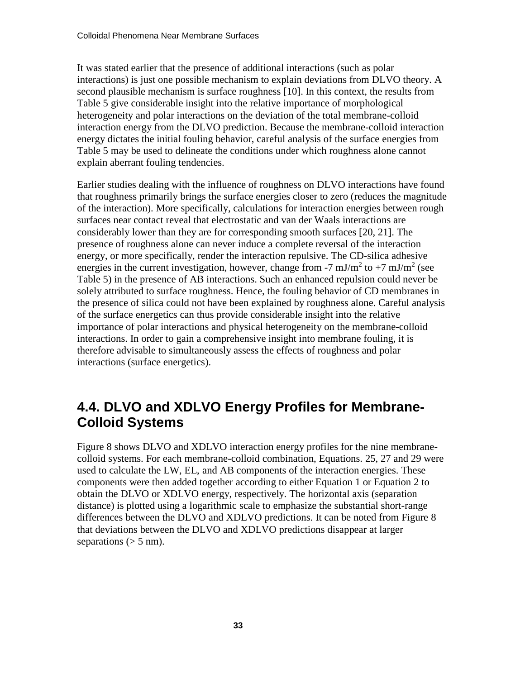It was stated earlier that the presence of additional interactions (such as polar interactions) is just one possible mechanism to explain deviations from DLVO theory. A second plausible mechanism is surface roughness [10]. In this context, the results from Table 5 give considerable insight into the relative importance of morphological heterogeneity and polar interactions on the deviation of the total membrane-colloid interaction energy from the DLVO prediction. Because the membrane-colloid interaction energy dictates the initial fouling behavior, careful analysis of the surface energies from Table 5 may be used to delineate the conditions under which roughness alone cannot explain aberrant fouling tendencies.

Earlier studies dealing with the influence of roughness on DLVO interactions have found that roughness primarily brings the surface energies closer to zero (reduces the magnitude of the interaction). More specifically, calculations for interaction energies between rough surfaces near contact reveal that electrostatic and van der Waals interactions are considerably lower than they are for corresponding smooth surfaces [20, 21]. The presence of roughness alone can never induce a complete reversal of the interaction energy, or more specifically, render the interaction repulsive. The CD-silica adhesive energies in the current investigation, however, change from -7 mJ/m<sup>2</sup> to +7 mJ/m<sup>2</sup> (see Table 5) in the presence of AB interactions. Such an enhanced repulsion could never be solely attributed to surface roughness. Hence, the fouling behavior of CD membranes in the presence of silica could not have been explained by roughness alone. Careful analysis of the surface energetics can thus provide considerable insight into the relative importance of polar interactions and physical heterogeneity on the membrane-colloid interactions. In order to gain a comprehensive insight into membrane fouling, it is therefore advisable to simultaneously assess the effects of roughness and polar interactions (surface energetics).

## <span id="page-37-0"></span>**4.4. DLVO and XDLVO Energy Profiles for Membrane-Colloid Systems**

Figure 8 shows DLVO and XDLVO interaction energy profiles for the nine membranecolloid systems. For each membrane-colloid combination, Equations. 25, 27 and 29 were used to calculate the LW, EL, and AB components of the interaction energies. These components were then added together according to either Equation 1 or Equation 2 to obtain the DLVO or XDLVO energy, respectively. The horizontal axis (separation distance) is plotted using a logarithmic scale to emphasize the substantial short-range differences between the DLVO and XDLVO predictions. It can be noted from Figure 8 that deviations between the DLVO and XDLVO predictions disappear at larger separations  $(> 5 \text{ nm})$ .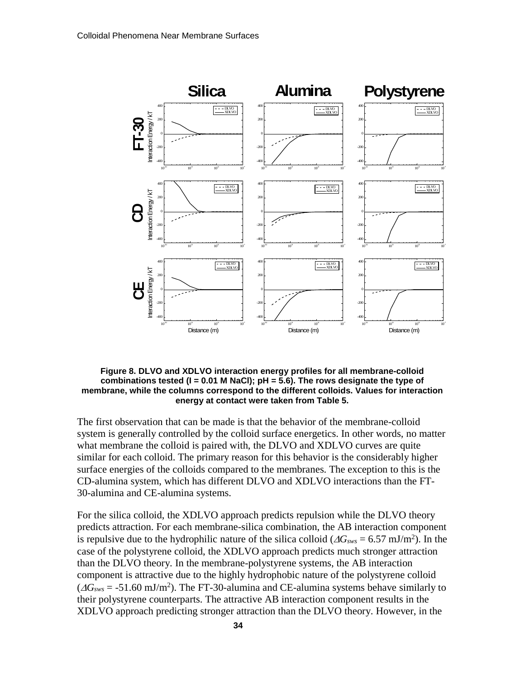

#### **Figure 8. DLVO and XDLVO interaction energy profiles for all membrane-colloid combinations tested (I = 0.01 M NaCl); pH = 5.6). The rows designate the type of membrane, while the columns correspond to the different colloids. Values for interaction energy at contact were taken from Table 5.**

The first observation that can be made is that the behavior of the membrane-colloid system is generally controlled by the colloid surface energetics. In other words, no matter what membrane the colloid is paired with, the DLVO and XDLVO curves are quite similar for each colloid. The primary reason for this behavior is the considerably higher surface energies of the colloids compared to the membranes. The exception to this is the CD-alumina system, which has different DLVO and XDLVO interactions than the FT-30-alumina and CE-alumina systems.

For the silica colloid, the XDLVO approach predicts repulsion while the DLVO theory predicts attraction. For each membrane-silica combination, the AB interaction component is repulsive due to the hydrophilic nature of the silica colloid ( $\Delta G_{sws} = 6.57 \text{ mJ/m}^2$ ). In the case of the polystyrene colloid, the XDLVO approach predicts much stronger attraction than the DLVO theory. In the membrane-polystyrene systems, the AB interaction component is attractive due to the highly hydrophobic nature of the polystyrene colloid  $(\Delta G_{sws} = -51.60 \text{ mJ/m}^2)$ . The FT-30-alumina and CE-alumina systems behave similarly to their polystyrene counterparts. The attractive AB interaction component results in the XDLVO approach predicting stronger attraction than the DLVO theory. However, in the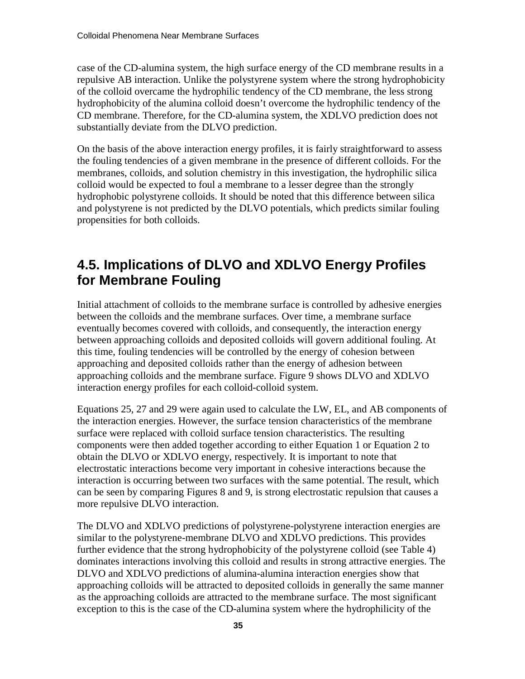case of the CD-alumina system, the high surface energy of the CD membrane results in a repulsive AB interaction. Unlike the polystyrene system where the strong hydrophobicity of the colloid overcame the hydrophilic tendency of the CD membrane, the less strong hydrophobicity of the alumina colloid doesn't overcome the hydrophilic tendency of the CD membrane. Therefore, for the CD-alumina system, the XDLVO prediction does not substantially deviate from the DLVO prediction.

On the basis of the above interaction energy profiles, it is fairly straightforward to assess the fouling tendencies of a given membrane in the presence of different colloids. For the membranes, colloids, and solution chemistry in this investigation, the hydrophilic silica colloid would be expected to foul a membrane to a lesser degree than the strongly hydrophobic polystyrene colloids. It should be noted that this difference between silica and polystyrene is not predicted by the DLVO potentials, which predicts similar fouling propensities for both colloids.

## <span id="page-39-0"></span>**4.5. Implications of DLVO and XDLVO Energy Profiles for Membrane Fouling**

Initial attachment of colloids to the membrane surface is controlled by adhesive energies between the colloids and the membrane surfaces. Over time, a membrane surface eventually becomes covered with colloids, and consequently, the interaction energy between approaching colloids and deposited colloids will govern additional fouling. At this time, fouling tendencies will be controlled by the energy of cohesion between approaching and deposited colloids rather than the energy of adhesion between approaching colloids and the membrane surface. Figure 9 shows DLVO and XDLVO interaction energy profiles for each colloid-colloid system.

Equations 25, 27 and 29 were again used to calculate the LW, EL, and AB components of the interaction energies. However, the surface tension characteristics of the membrane surface were replaced with colloid surface tension characteristics. The resulting components were then added together according to either Equation 1 or Equation 2 to obtain the DLVO or XDLVO energy, respectively. It is important to note that electrostatic interactions become very important in cohesive interactions because the interaction is occurring between two surfaces with the same potential. The result, which can be seen by comparing Figures 8 and 9, is strong electrostatic repulsion that causes a more repulsive DLVO interaction.

The DLVO and XDLVO predictions of polystyrene-polystyrene interaction energies are similar to the polystyrene-membrane DLVO and XDLVO predictions. This provides further evidence that the strong hydrophobicity of the polystyrene colloid (see Table 4) dominates interactions involving this colloid and results in strong attractive energies. The DLVO and XDLVO predictions of alumina-alumina interaction energies show that approaching colloids will be attracted to deposited colloids in generally the same manner as the approaching colloids are attracted to the membrane surface. The most significant exception to this is the case of the CD-alumina system where the hydrophilicity of the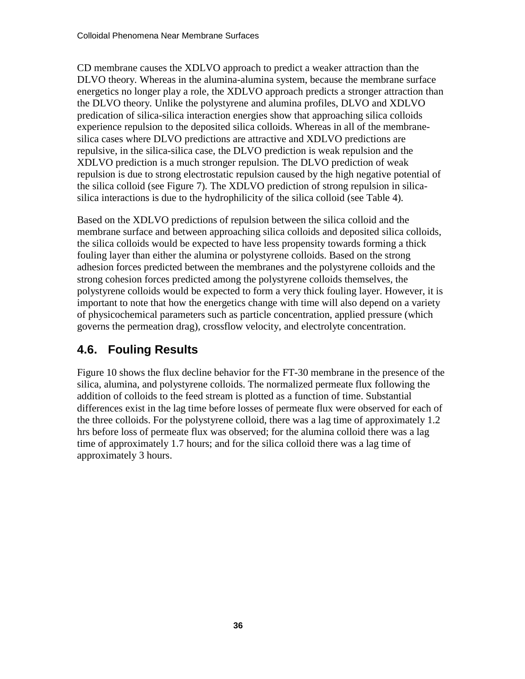CD membrane causes the XDLVO approach to predict a weaker attraction than the DLVO theory. Whereas in the alumina-alumina system, because the membrane surface energetics no longer play a role, the XDLVO approach predicts a stronger attraction than the DLVO theory. Unlike the polystyrene and alumina profiles, DLVO and XDLVO predication of silica-silica interaction energies show that approaching silica colloids experience repulsion to the deposited silica colloids. Whereas in all of the membranesilica cases where DLVO predictions are attractive and XDLVO predictions are repulsive, in the silica-silica case, the DLVO prediction is weak repulsion and the XDLVO prediction is a much stronger repulsion. The DLVO prediction of weak repulsion is due to strong electrostatic repulsion caused by the high negative potential of the silica colloid (see Figure 7). The XDLVO prediction of strong repulsion in silicasilica interactions is due to the hydrophilicity of the silica colloid (see Table 4).

Based on the XDLVO predictions of repulsion between the silica colloid and the membrane surface and between approaching silica colloids and deposited silica colloids, the silica colloids would be expected to have less propensity towards forming a thick fouling layer than either the alumina or polystyrene colloids. Based on the strong adhesion forces predicted between the membranes and the polystyrene colloids and the strong cohesion forces predicted among the polystyrene colloids themselves, the polystyrene colloids would be expected to form a very thick fouling layer. However, it is important to note that how the energetics change with time will also depend on a variety of physicochemical parameters such as particle concentration, applied pressure (which governs the permeation drag), crossflow velocity, and electrolyte concentration.

## **4.6. Fouling Results**

Figure 10 shows the flux decline behavior for the FT-30 membrane in the presence of the silica, alumina, and polystyrene colloids. The normalized permeate flux following the addition of colloids to the feed stream is plotted as a function of time. Substantial differences exist in the lag time before losses of permeate flux were observed for each of the three colloids. For the polystyrene colloid, there was a lag time of approximately 1.2 hrs before loss of permeate flux was observed; for the alumina colloid there was a lag time of approximately 1.7 hours; and for the silica colloid there was a lag time of approximately 3 hours.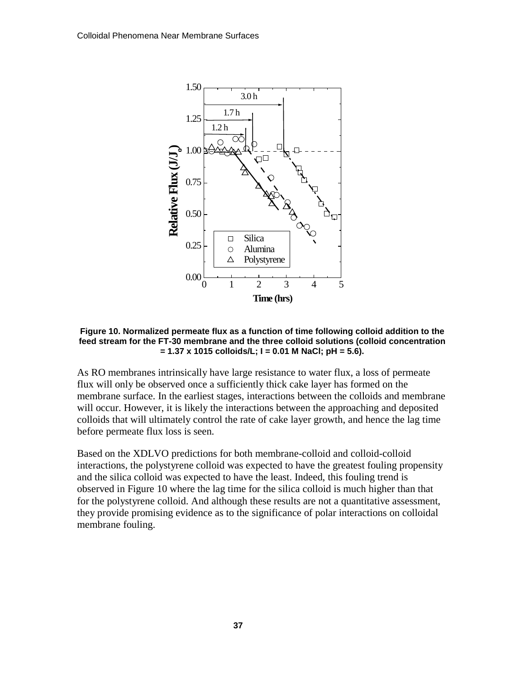

**Figure 10. Normalized permeate flux as a function of time following colloid addition to the feed stream for the FT-30 membrane and the three colloid solutions (colloid concentration = 1.37 x 1015 colloids/L; I = 0.01 M NaCl; pH = 5.6).**

As RO membranes intrinsically have large resistance to water flux, a loss of permeate flux will only be observed once a sufficiently thick cake layer has formed on the membrane surface. In the earliest stages, interactions between the colloids and membrane will occur. However, it is likely the interactions between the approaching and deposited colloids that will ultimately control the rate of cake layer growth, and hence the lag time before permeate flux loss is seen.

Based on the XDLVO predictions for both membrane-colloid and colloid-colloid interactions, the polystyrene colloid was expected to have the greatest fouling propensity and the silica colloid was expected to have the least. Indeed, this fouling trend is observed in Figure 10 where the lag time for the silica colloid is much higher than that for the polystyrene colloid. And although these results are not a quantitative assessment, they provide promising evidence as to the significance of polar interactions on colloidal membrane fouling.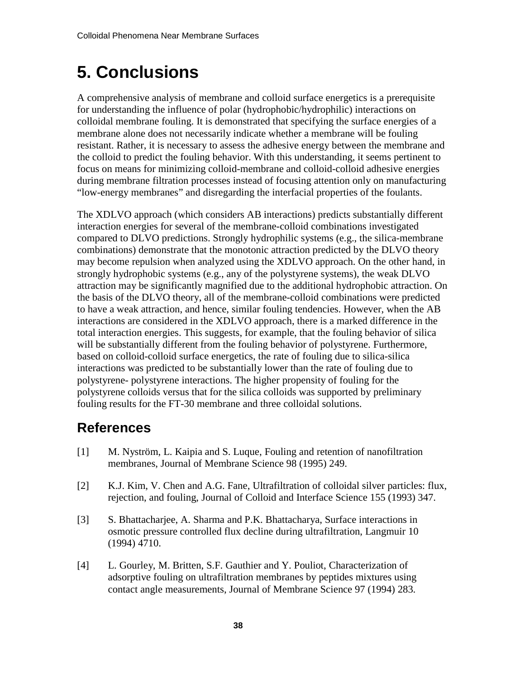## <span id="page-42-0"></span>**5. Conclusions**

A comprehensive analysis of membrane and colloid surface energetics is a prerequisite for understanding the influence of polar (hydrophobic/hydrophilic) interactions on colloidal membrane fouling. It is demonstrated that specifying the surface energies of a membrane alone does not necessarily indicate whether a membrane will be fouling resistant. Rather, it is necessary to assess the adhesive energy between the membrane and the colloid to predict the fouling behavior. With this understanding, it seems pertinent to focus on means for minimizing colloid-membrane and colloid-colloid adhesive energies during membrane filtration processes instead of focusing attention only on manufacturing "low-energy membranes" and disregarding the interfacial properties of the foulants.

The XDLVO approach (which considers AB interactions) predicts substantially different interaction energies for several of the membrane-colloid combinations investigated compared to DLVO predictions. Strongly hydrophilic systems (e.g., the silica-membrane combinations) demonstrate that the monotonic attraction predicted by the DLVO theory may become repulsion when analyzed using the XDLVO approach. On the other hand, in strongly hydrophobic systems (e.g., any of the polystyrene systems), the weak DLVO attraction may be significantly magnified due to the additional hydrophobic attraction. On the basis of the DLVO theory, all of the membrane-colloid combinations were predicted to have a weak attraction, and hence, similar fouling tendencies. However, when the AB interactions are considered in the XDLVO approach, there is a marked difference in the total interaction energies. This suggests, for example, that the fouling behavior of silica will be substantially different from the fouling behavior of polystyrene. Furthermore, based on colloid-colloid surface energetics, the rate of fouling due to silica-silica interactions was predicted to be substantially lower than the rate of fouling due to polystyrene- polystyrene interactions. The higher propensity of fouling for the polystyrene colloids versus that for the silica colloids was supported by preliminary fouling results for the FT-30 membrane and three colloidal solutions.

## **References**

- [1] M. Nyström, L. Kaipia and S. Luque, Fouling and retention of nanofiltration membranes, Journal of Membrane Science 98 (1995) 249.
- [2] K.J. Kim, V. Chen and A.G. Fane, Ultrafiltration of colloidal silver particles: flux, rejection, and fouling, Journal of Colloid and Interface Science 155 (1993) 347.
- [3] S. Bhattacharjee, A. Sharma and P.K. Bhattacharya, Surface interactions in osmotic pressure controlled flux decline during ultrafiltration, Langmuir 10 (1994) 4710.
- [4] L. Gourley, M. Britten, S.F. Gauthier and Y. Pouliot, Characterization of adsorptive fouling on ultrafiltration membranes by peptides mixtures using contact angle measurements, Journal of Membrane Science 97 (1994) 283.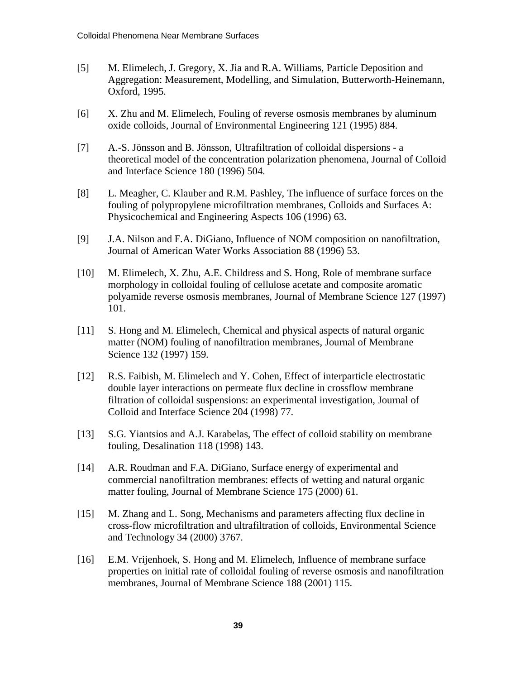- [5] M. Elimelech, J. Gregory, X. Jia and R.A. Williams, Particle Deposition and Aggregation: Measurement, Modelling, and Simulation, Butterworth-Heinemann, Oxford, 1995.
- [6] X. Zhu and M. Elimelech, Fouling of reverse osmosis membranes by aluminum oxide colloids, Journal of Environmental Engineering 121 (1995) 884.
- [7] A.-S. Jönsson and B. Jönsson, Ultrafiltration of colloidal dispersions a theoretical model of the concentration polarization phenomena, Journal of Colloid and Interface Science 180 (1996) 504.
- [8] L. Meagher, C. Klauber and R.M. Pashley, The influence of surface forces on the fouling of polypropylene microfiltration membranes, Colloids and Surfaces A: Physicochemical and Engineering Aspects 106 (1996) 63.
- [9] J.A. Nilson and F.A. DiGiano, Influence of NOM composition on nanofiltration, Journal of American Water Works Association 88 (1996) 53.
- [10] M. Elimelech, X. Zhu, A.E. Childress and S. Hong, Role of membrane surface morphology in colloidal fouling of cellulose acetate and composite aromatic polyamide reverse osmosis membranes, Journal of Membrane Science 127 (1997) 101.
- [11] S. Hong and M. Elimelech, Chemical and physical aspects of natural organic matter (NOM) fouling of nanofiltration membranes, Journal of Membrane Science 132 (1997) 159.
- [12] R.S. Faibish, M. Elimelech and Y. Cohen, Effect of interparticle electrostatic double layer interactions on permeate flux decline in crossflow membrane filtration of colloidal suspensions: an experimental investigation, Journal of Colloid and Interface Science 204 (1998) 77.
- [13] S.G. Yiantsios and A.J. Karabelas, The effect of colloid stability on membrane fouling, Desalination 118 (1998) 143.
- [14] A.R. Roudman and F.A. DiGiano, Surface energy of experimental and commercial nanofiltration membranes: effects of wetting and natural organic matter fouling, Journal of Membrane Science 175 (2000) 61.
- [15] M. Zhang and L. Song, Mechanisms and parameters affecting flux decline in cross-flow microfiltration and ultrafiltration of colloids, Environmental Science and Technology 34 (2000) 3767.
- [16] E.M. Vrijenhoek, S. Hong and M. Elimelech, Influence of membrane surface properties on initial rate of colloidal fouling of reverse osmosis and nanofiltration membranes, Journal of Membrane Science 188 (2001) 115.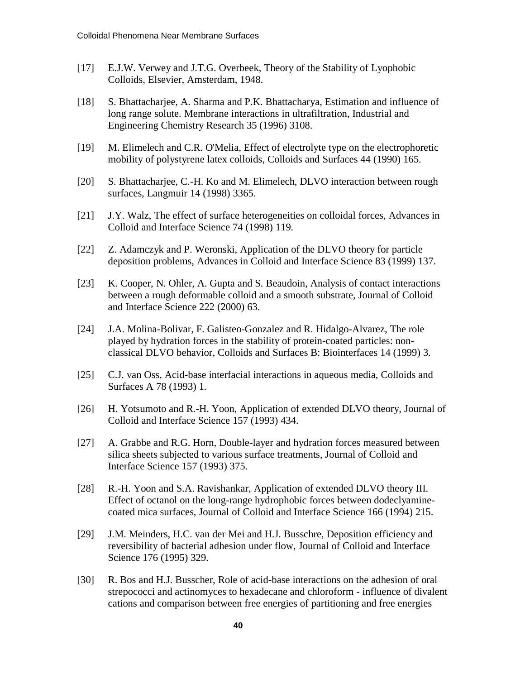- [17] E.J.W. Verwey and J.T.G. Overbeek, Theory of the Stability of Lyophobic Colloids, Elsevier, Amsterdam, 1948.
- [18] S. Bhattacharjee, A. Sharma and P.K. Bhattacharya, Estimation and influence of long range solute. Membrane interactions in ultrafiltration, Industrial and Engineering Chemistry Research 35 (1996) 3108.
- [19] M. Elimelech and C.R. O'Melia, Effect of electrolyte type on the electrophoretic mobility of polystyrene latex colloids, Colloids and Surfaces 44 (1990) 165.
- [20] S. Bhattacharjee, C.-H. Ko and M. Elimelech, DLVO interaction between rough surfaces, Langmuir 14 (1998) 3365.
- [21] J.Y. Walz, The effect of surface heterogeneities on colloidal forces, Advances in Colloid and Interface Science 74 (1998) 119.
- [22] Z. Adamczyk and P. Weronski, Application of the DLVO theory for particle deposition problems, Advances in Colloid and Interface Science 83 (1999) 137.
- [23] K. Cooper, N. Ohler, A. Gupta and S. Beaudoin, Analysis of contact interactions between a rough deformable colloid and a smooth substrate, Journal of Colloid and Interface Science 222 (2000) 63.
- [24] J.A. Molina-Bolivar, F. Galisteo-Gonzalez and R. Hidalgo-Alvarez, The role played by hydration forces in the stability of protein-coated particles: nonclassical DLVO behavior, Colloids and Surfaces B: Biointerfaces 14 (1999) 3.
- [25] C.J. van Oss, Acid-base interfacial interactions in aqueous media, Colloids and Surfaces A 78 (1993) 1.
- [26] H. Yotsumoto and R.-H. Yoon, Application of extended DLVO theory, Journal of Colloid and Interface Science 157 (1993) 434.
- [27] A. Grabbe and R.G. Horn, Double-layer and hydration forces measured between silica sheets subjected to various surface treatments, Journal of Colloid and Interface Science 157 (1993) 375.
- [28] R.-H. Yoon and S.A. Ravishankar, Application of extended DLVO theory III. Effect of octanol on the long-range hydrophobic forces between dodeclyaminecoated mica surfaces, Journal of Colloid and Interface Science 166 (1994) 215.
- [29] J.M. Meinders, H.C. van der Mei and H.J. Busschre, Deposition efficiency and reversibility of bacterial adhesion under flow, Journal of Colloid and Interface Science 176 (1995) 329.
- [30] R. Bos and H.J. Busscher, Role of acid-base interactions on the adhesion of oral strepococci and actinomyces to hexadecane and chloroform - influence of divalent cations and comparison between free energies of partitioning and free energies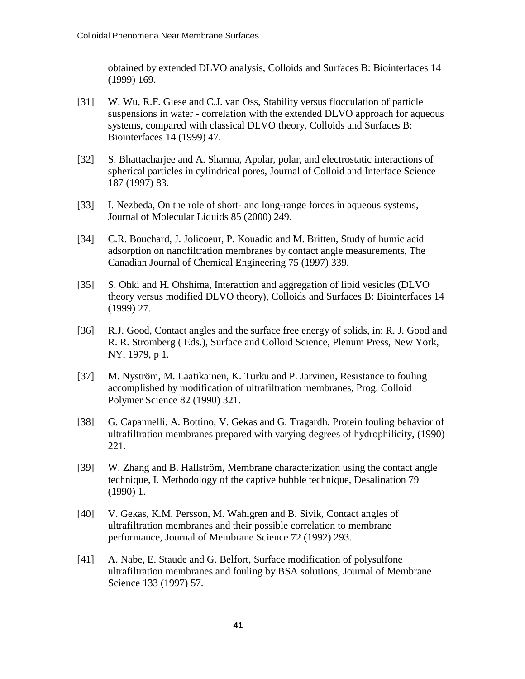obtained by extended DLVO analysis, Colloids and Surfaces B: Biointerfaces 14 (1999) 169.

- [31] W. Wu, R.F. Giese and C.J. van Oss, Stability versus flocculation of particle suspensions in water - correlation with the extended DLVO approach for aqueous systems, compared with classical DLVO theory, Colloids and Surfaces B: Biointerfaces 14 (1999) 47.
- [32] S. Bhattacharjee and A. Sharma, Apolar, polar, and electrostatic interactions of spherical particles in cylindrical pores, Journal of Colloid and Interface Science 187 (1997) 83.
- [33] I. Nezbeda, On the role of short- and long-range forces in aqueous systems, Journal of Molecular Liquids 85 (2000) 249.
- [34] C.R. Bouchard, J. Jolicoeur, P. Kouadio and M. Britten, Study of humic acid adsorption on nanofiltration membranes by contact angle measurements, The Canadian Journal of Chemical Engineering 75 (1997) 339.
- [35] S. Ohki and H. Ohshima, Interaction and aggregation of lipid vesicles (DLVO theory versus modified DLVO theory), Colloids and Surfaces B: Biointerfaces 14 (1999) 27.
- [36] R.J. Good, Contact angles and the surface free energy of solids, in: R. J. Good and R. R. Stromberg ( Eds.), Surface and Colloid Science, Plenum Press, New York, NY, 1979, p 1.
- [37] M. Nyström, M. Laatikainen, K. Turku and P. Jarvinen, Resistance to fouling accomplished by modification of ultrafiltration membranes, Prog. Colloid Polymer Science 82 (1990) 321.
- [38] G. Capannelli, A. Bottino, V. Gekas and G. Tragardh, Protein fouling behavior of ultrafiltration membranes prepared with varying degrees of hydrophilicity, (1990) 221.
- [39] W. Zhang and B. Hallström, Membrane characterization using the contact angle technique, I. Methodology of the captive bubble technique, Desalination 79 (1990) 1.
- [40] V. Gekas, K.M. Persson, M. Wahlgren and B. Sivik, Contact angles of ultrafiltration membranes and their possible correlation to membrane performance, Journal of Membrane Science 72 (1992) 293.
- [41] A. Nabe, E. Staude and G. Belfort, Surface modification of polysulfone ultrafiltration membranes and fouling by BSA solutions, Journal of Membrane Science 133 (1997) 57.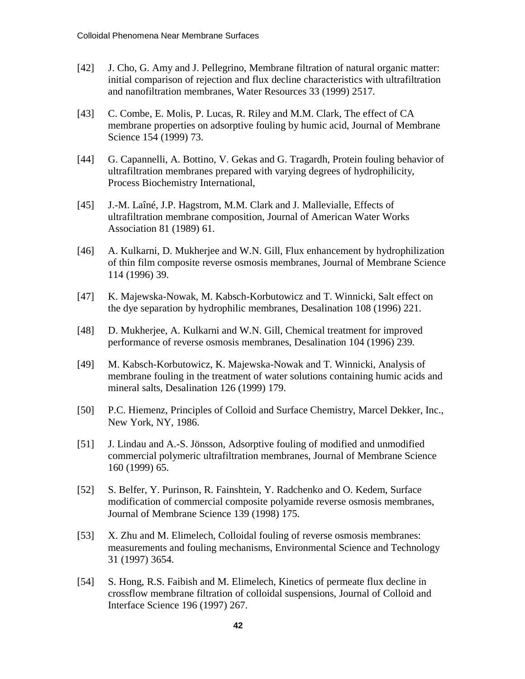- [42] J. Cho, G. Amy and J. Pellegrino, Membrane filtration of natural organic matter: initial comparison of rejection and flux decline characteristics with ultrafiltration and nanofiltration membranes, Water Resources 33 (1999) 2517.
- [43] C. Combe, E. Molis, P. Lucas, R. Riley and M.M. Clark, The effect of CA membrane properties on adsorptive fouling by humic acid, Journal of Membrane Science 154 (1999) 73.
- [44] G. Capannelli, A. Bottino, V. Gekas and G. Tragardh, Protein fouling behavior of ultrafiltration membranes prepared with varying degrees of hydrophilicity, Process Biochemistry International,
- [45] J.-M. Laîné, J.P. Hagstrom, M.M. Clark and J. Mallevialle, Effects of ultrafiltration membrane composition, Journal of American Water Works Association 81 (1989) 61.
- [46] A. Kulkarni, D. Mukherjee and W.N. Gill, Flux enhancement by hydrophilization of thin film composite reverse osmosis membranes, Journal of Membrane Science 114 (1996) 39.
- [47] K. Majewska-Nowak, M. Kabsch-Korbutowicz and T. Winnicki, Salt effect on the dye separation by hydrophilic membranes, Desalination 108 (1996) 221.
- [48] D. Mukherjee, A. Kulkarni and W.N. Gill, Chemical treatment for improved performance of reverse osmosis membranes, Desalination 104 (1996) 239.
- [49] M. Kabsch-Korbutowicz, K. Majewska-Nowak and T. Winnicki, Analysis of membrane fouling in the treatment of water solutions containing humic acids and mineral salts, Desalination 126 (1999) 179.
- [50] P.C. Hiemenz, Principles of Colloid and Surface Chemistry, Marcel Dekker, Inc., New York, NY, 1986.
- [51] J. Lindau and A.-S. Jönsson, Adsorptive fouling of modified and unmodified commercial polymeric ultrafiltration membranes, Journal of Membrane Science 160 (1999) 65.
- [52] S. Belfer, Y. Purinson, R. Fainshtein, Y. Radchenko and O. Kedem, Surface modification of commercial composite polyamide reverse osmosis membranes, Journal of Membrane Science 139 (1998) 175.
- [53] X. Zhu and M. Elimelech, Colloidal fouling of reverse osmosis membranes: measurements and fouling mechanisms, Environmental Science and Technology 31 (1997) 3654.
- [54] S. Hong, R.S. Faibish and M. Elimelech, Kinetics of permeate flux decline in crossflow membrane filtration of colloidal suspensions, Journal of Colloid and Interface Science 196 (1997) 267.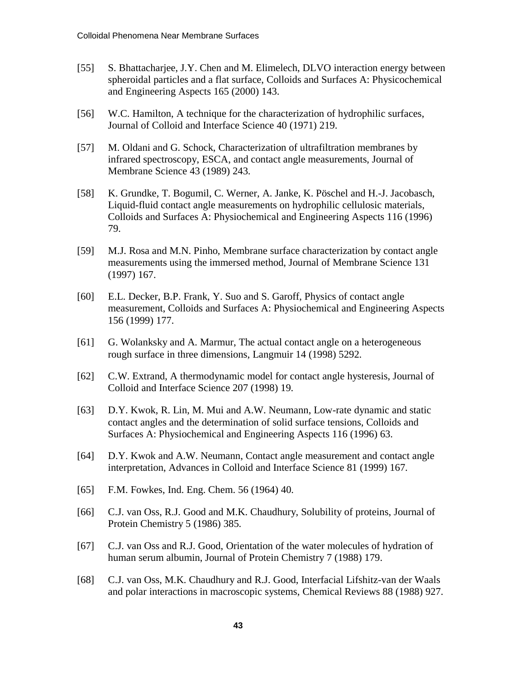- [55] S. Bhattacharjee, J.Y. Chen and M. Elimelech, DLVO interaction energy between spheroidal particles and a flat surface, Colloids and Surfaces A: Physicochemical and Engineering Aspects 165 (2000) 143.
- [56] W.C. Hamilton, A technique for the characterization of hydrophilic surfaces, Journal of Colloid and Interface Science 40 (1971) 219.
- [57] M. Oldani and G. Schock, Characterization of ultrafiltration membranes by infrared spectroscopy, ESCA, and contact angle measurements, Journal of Membrane Science 43 (1989) 243.
- [58] K. Grundke, T. Bogumil, C. Werner, A. Janke, K. Pöschel and H.-J. Jacobasch, Liquid-fluid contact angle measurements on hydrophilic cellulosic materials, Colloids and Surfaces A: Physiochemical and Engineering Aspects 116 (1996) 79.
- [59] M.J. Rosa and M.N. Pinho, Membrane surface characterization by contact angle measurements using the immersed method, Journal of Membrane Science 131 (1997) 167.
- [60] E.L. Decker, B.P. Frank, Y. Suo and S. Garoff, Physics of contact angle measurement, Colloids and Surfaces A: Physiochemical and Engineering Aspects 156 (1999) 177.
- [61] G. Wolanksky and A. Marmur, The actual contact angle on a heterogeneous rough surface in three dimensions, Langmuir 14 (1998) 5292.
- [62] C.W. Extrand, A thermodynamic model for contact angle hysteresis, Journal of Colloid and Interface Science 207 (1998) 19.
- [63] D.Y. Kwok, R. Lin, M. Mui and A.W. Neumann, Low-rate dynamic and static contact angles and the determination of solid surface tensions, Colloids and Surfaces A: Physiochemical and Engineering Aspects 116 (1996) 63.
- [64] D.Y. Kwok and A.W. Neumann, Contact angle measurement and contact angle interpretation, Advances in Colloid and Interface Science 81 (1999) 167.
- [65] F.M. Fowkes, Ind. Eng. Chem. 56 (1964) 40.
- [66] C.J. van Oss, R.J. Good and M.K. Chaudhury, Solubility of proteins, Journal of Protein Chemistry 5 (1986) 385.
- [67] C.J. van Oss and R.J. Good, Orientation of the water molecules of hydration of human serum albumin, Journal of Protein Chemistry 7 (1988) 179.
- [68] C.J. van Oss, M.K. Chaudhury and R.J. Good, Interfacial Lifshitz-van der Waals and polar interactions in macroscopic systems, Chemical Reviews 88 (1988) 927.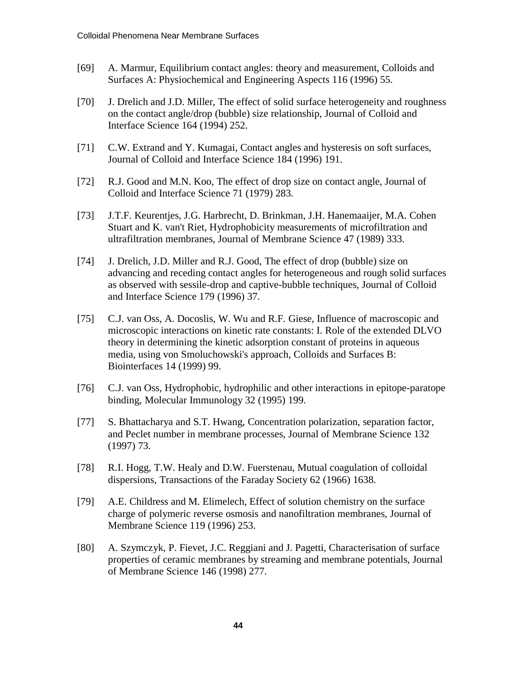- [69] A. Marmur, Equilibrium contact angles: theory and measurement, Colloids and Surfaces A: Physiochemical and Engineering Aspects 116 (1996) 55.
- [70] J. Drelich and J.D. Miller, The effect of solid surface heterogeneity and roughness on the contact angle/drop (bubble) size relationship, Journal of Colloid and Interface Science 164 (1994) 252.
- [71] C.W. Extrand and Y. Kumagai, Contact angles and hysteresis on soft surfaces, Journal of Colloid and Interface Science 184 (1996) 191.
- [72] R.J. Good and M.N. Koo, The effect of drop size on contact angle, Journal of Colloid and Interface Science 71 (1979) 283.
- [73] J.T.F. Keurentjes, J.G. Harbrecht, D. Brinkman, J.H. Hanemaaijer, M.A. Cohen Stuart and K. van't Riet, Hydrophobicity measurements of microfiltration and ultrafiltration membranes, Journal of Membrane Science 47 (1989) 333.
- [74] J. Drelich, J.D. Miller and R.J. Good, The effect of drop (bubble) size on advancing and receding contact angles for heterogeneous and rough solid surfaces as observed with sessile-drop and captive-bubble techniques, Journal of Colloid and Interface Science 179 (1996) 37.
- [75] C.J. van Oss, A. Docoslis, W. Wu and R.F. Giese, Influence of macroscopic and microscopic interactions on kinetic rate constants: I. Role of the extended DLVO theory in determining the kinetic adsorption constant of proteins in aqueous media, using von Smoluchowski's approach, Colloids and Surfaces B: Biointerfaces 14 (1999) 99.
- [76] C.J. van Oss, Hydrophobic, hydrophilic and other interactions in epitope-paratope binding, Molecular Immunology 32 (1995) 199.
- [77] S. Bhattacharya and S.T. Hwang, Concentration polarization, separation factor, and Peclet number in membrane processes, Journal of Membrane Science 132 (1997) 73.
- [78] R.I. Hogg, T.W. Healy and D.W. Fuerstenau, Mutual coagulation of colloidal dispersions, Transactions of the Faraday Society 62 (1966) 1638.
- [79] A.E. Childress and M. Elimelech, Effect of solution chemistry on the surface charge of polymeric reverse osmosis and nanofiltration membranes, Journal of Membrane Science 119 (1996) 253.
- [80] A. Szymczyk, P. Fievet, J.C. Reggiani and J. Pagetti, Characterisation of surface properties of ceramic membranes by streaming and membrane potentials, Journal of Membrane Science 146 (1998) 277.